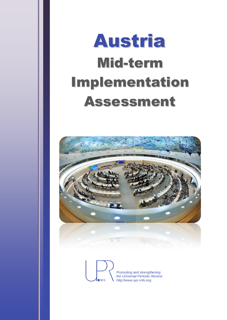



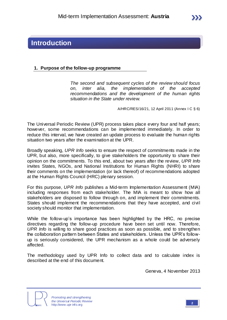## **Introduction**

## **1. Purpose of the follow-up programme**

*The second and subsequent cycles of the review should focus on, inter alia, the implementation of the accepted recommendations and the development of the human rights situation in the State under review.*

A/HRC/RES/16/21, 12 April 2011 (Annex I C § 6)

The Universal Periodic Review (UPR) process takes place every four and half years; however, some recommendations can be implemented immediately. In order to reduce this interval, we have created an update process to evaluate the human rights situation two years after the examination at the UPR.

Broadly speaking, *UPR Info* seeks to ensure the respect of commitments made in the UPR, but also, more specifically, to give stakeholders the opportunity to share their opinion on the commitments. To this end, about two years after the review, *UPR Info* invites States, NGOs, and National Institutions for Human Rights (NHRI) to share their comments on the implementation (or lack thereof) of recommendations adopted at the Human Rights Council (HRC) plenary session.

For this purpose, *UPR Info* publishes a Mid-term Implementation Assessment (MIA) including responses from each stakeholder. The MIA is meant to show how all stakeholders are disposed to follow through on, and implement their commitments. States should implement the recommendations that they have accepted, and civil society should monitor that implementation.

While the follow-up's importance has been highlighted by the HRC, no precise directives regarding the follow-up procedure have been set until now. Therefore, *UPR Info* is willing to share good practices as soon as possible, and to strengthen the collaboration pattern between States and stakeholders. Unless the UPR's followup is seriously considered, the UPR mechanism as a whole could be adversely affected.

The methodology used by UPR Info to collect data and to calculate index is described at the end of this document.

Geneva, 4 November 2013



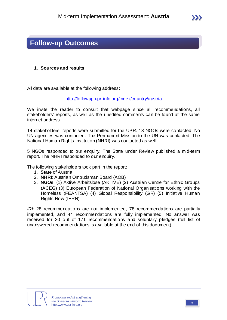## **Follow-up Outcomes**

## **1. Sources and results**

All data are available at the following address:

<http://followup.upr-info.org/index/country/austria>

We invite the reader to consult that webpage since all recommendations, all stakeholders' reports, as well as the unedited comments can be found at the same internet address.

14 stakeholders' reports were submitted for the UPR. 18 NGOs were contacted. No UN agencies was contacted. The Permanent Mission to the UN was contacted. The National Human Rights Institution (NHRI) was contacted as well.

5 NGOs responded to our enquiry. The State under Review published a mid-term report. The NHRI responded to our enquiry.

The following stakeholders took part in the report:

- 1. **State** of Austria
- 2. **NHRI**: Austrian Ombudsman Board (AOB)
- 3. **NGOs**: (1) Aktive Arbeitslose (AKTIVE) (2) Austrian Centre for Ethnic Groups (ACEG) (3) European Federation of National Organisations working with the Homeless (FEANTSA) (4) Global Responsibility (GR) (5) Initiative Human Rights Now (IHRN)

*IRI*: 28 recommendations are not implemented, 78 recommendations are partially implemented, and 44 recommendations are fully implemented. No answer was received for 20 out of 171 recommendations and voluntary pledges (full list of unanswered recommendations is available at the end of this document).

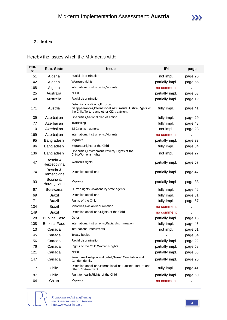## **2. Index**

## Hereby the issues which the MIA deals with:

| rec.<br>n° | <b>Rec. State</b>               | <b>Issue</b>                                                                                                                                  | <b>IRI</b>      | page    |
|------------|---------------------------------|-----------------------------------------------------------------------------------------------------------------------------------------------|-----------------|---------|
| 51         | Algeria                         | Racial discrimination                                                                                                                         | not impl.       | page 20 |
| 142        | Algeria                         | Women's rights                                                                                                                                | partially impl. | page 55 |
| 168        | Algeria                         | International instruments, Migrants                                                                                                           | no comment      | 1       |
| 25         | Australia                       | NHRI                                                                                                                                          | partially impl. | page 63 |
| 48         | Australia                       | Racial discrimination                                                                                                                         | partially impl. | page 19 |
| 171        | Austria                         | Detention conditions, Enforced<br>disappearances, International instruments, Justice, Rights of<br>the Child, Torture and other CID treatment | fully impl.     | page 41 |
| 39         | Azerbaijan                      | Disabilities, National plan of action                                                                                                         | fully impl.     | page 29 |
| 77         | Azerbaijan                      | Trafficking                                                                                                                                   | fully impl.     | page 48 |
| 110        | Azerbaijan                      | ESC rights - general                                                                                                                          | not impl.       | page 23 |
| 169        | Azerbaijan                      | International instruments, Migrants                                                                                                           | no comment      |         |
| 95         | Bangladesh                      | Migrants                                                                                                                                      | partially impl. | page 33 |
| 96         | Bangladesh                      | Migrants, Rights of the Child                                                                                                                 | fully impl.     | page 34 |
| 136        | Bangladesh                      | Disabilities, Environment, Poverty, Rights of the<br>Child, Women's rights                                                                    | not impl.       | page 27 |
| 47         | Bosnia &<br><b>Herz</b> egovina | Women's rights                                                                                                                                | partially impl. | page 57 |
| 74         | Bosnia &<br><b>Herz</b> egovina | Detention conditions                                                                                                                          | partially impl. | page 47 |
| 93         | Bosnia &<br>Herz egovina        | Migrants                                                                                                                                      | partially impl. | page 33 |
| 67         | Botswana                        | Human rights violations by state agents                                                                                                       | fully impl.     | page 46 |
| 69         | <b>Brazil</b>                   | Detention conditions                                                                                                                          | fully impl.     | page 31 |
| 71         | Brazil                          | Rights of the Child                                                                                                                           | fully impl.     | page 57 |
| 134        | <b>Brazil</b>                   | Minorities, Racial discrimination                                                                                                             | no comment      | I       |
| 149        | <b>Brazil</b>                   | Detention conditions, Rights of the Child                                                                                                     | no comment      |         |
| 28         | <b>Burkina Faso</b>             | Other                                                                                                                                         | partially impl. | page 13 |
| 108        | <b>Burkina Faso</b>             | International instruments, Racial discrimination                                                                                              | fully impl.     | page 43 |
| 13         | Canada                          | International instruments                                                                                                                     | not impl.       | page 61 |
| 45         | Canada                          | <b>Treaty bodies</b>                                                                                                                          |                 | page 64 |
| 56         | Canada                          | Racial discrimination                                                                                                                         | partially impl. | page 22 |
| 76         | Canada                          | Rights of the Child, Women's rights                                                                                                           | partially impl. | page 58 |
| 121        | Canada                          | <b>NHRI</b>                                                                                                                                   | partially impl. | page 63 |
| 147        | Canada                          | Freedom of religion and belief, Sexual Orientation and<br>Gender Identity                                                                     | partially impl. | page 25 |
| 7          | Chile                           | Detention conditions, International instruments, Torture and<br>other CID treatment                                                           | fully impl.     | page 41 |
| 87         | Chile                           | Right to health, Rights of the Child                                                                                                          | partially impl. | page 60 |
| 164        | China                           | Migrants                                                                                                                                      | no comment      | T       |

**IINFO** 

*Promoting and strengthening the Universal Periodic Review* http://www.upr-info.org **<sup>4</sup>**

 $\sum$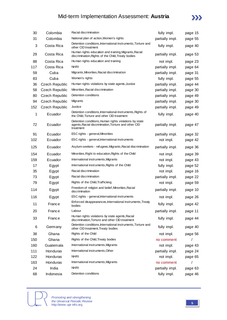

| 30  | Colombia              | Racial discrimination                                                                                                       | fully impl.     | page 15 |
|-----|-----------------------|-----------------------------------------------------------------------------------------------------------------------------|-----------------|---------|
| 31  | Colombia              | National plan of action, Women's rights                                                                                     | partially impl. | page 55 |
| 3   | Costa Rica            | Detention conditions, International instruments, Torture and<br>other CID treatment                                         | fully impl.     | page 40 |
| 29  | Costa Rica            | Human rights education and training, Migrants, Racial<br>discrimination, Rights of the Child, Treaty bodies                 | partially impl. | page 53 |
| 88  | Costa Rica            | Human rights education and training                                                                                         | not impl.       | page 23 |
| 117 | Costa Rica            | <b>NHRI</b>                                                                                                                 | partially impl. | page 64 |
| 59  | Cuba                  | Migrants, Minorities, Racial discrimination                                                                                 | partially impl. | page 31 |
| 83  | Cuba                  | Women's rights                                                                                                              | fully impl.     | page 55 |
| 36  | <b>Czech Republic</b> | Human rights violations by state agents, Justice                                                                            | partially impl. | page 44 |
| 58  | Czech Republic        | Minorities, Racial discrimination                                                                                           | partially impl. | page 30 |
| 80  | <b>Czech Republic</b> | Detention conditions                                                                                                        | partially impl. | page 49 |
| 94  | Czech Republic        | Migrants                                                                                                                    | partially impl. | page 30 |
| 152 | Czech Republic        | Justice                                                                                                                     | partially impl. | page 49 |
| 1   | Ecuador               | Detention conditions, International instruments, Rights of<br>the Child, Torture and other CID treatment                    | fully impl.     | page 40 |
| 72  | Ecuador               | Detention conditions, Human rights violations by state<br>agents, Racial discrimination, Torture and other CID<br>treatment | partially impl. | page 47 |
| 91  | Ecuador               | ESC rights - general, Minorities                                                                                            | partially impl. | page 32 |
| 102 | Ecuador               | ESC rights - general, International instruments                                                                             | not impl.       | page 42 |
| 125 | Ecuador               | Asylum-seekers - refugees, Migrants, Racial discrimination                                                                  | partially impl. | page 36 |
| 154 | Ecuador               | Minorities, Right to education, Rights of the Child                                                                         | not impl.       | page 39 |
| 159 | Ecuador               | International instruments, Migrants                                                                                         | not impl.       | page 43 |
| 17  | Egypt                 | International instruments, Rights of the Child                                                                              | fully impl.     | page 52 |
| 35  | Egypt                 | Racial discrimination                                                                                                       | not impl.       | page 16 |
| 73  | Egypt                 | Racial discrimination                                                                                                       | partially impl. | page 22 |
| 79  | Egypt                 | Rights of the Child, Trafficking                                                                                            | not impl.       | page 59 |
| 114 | Egypt                 | Freedom of religion and belief, Minorities, Racial<br>discrimination                                                        | partially impl. | page 10 |
| 116 | Egypt                 | ESC rights - general, International instruments                                                                             | not impl.       | page 26 |
| 11  | France                | Enforced disappearances, International instruments, Treaty<br>bodies                                                        | fully impl.     | page 42 |
| 20  | France                | Labour                                                                                                                      | partially impl. | page 11 |
| 33  | France                | Human rights violations by state agents, Racial<br>discrimination, Torture and other CID treatment                          | fully impl.     | page 44 |
| 6   | Germany               | Detention conditions, International instruments, Torture and<br>other CID treatment, Treaty bodies                          | fully impl.     | page 40 |
| 38  | Ghana                 | Rights of the Child                                                                                                         | not impl.       | page 56 |
| 150 | Ghana                 | Rights of the Child, Treaty bodies                                                                                          | no comment      |         |
| 160 | Guatemala             | International instruments, Migrants                                                                                         | not impl.       | page 43 |
| 111 | Honduras              | International instruments, Other                                                                                            | partially impl. | page 24 |
| 122 | Honduras              | <b>NHRI</b>                                                                                                                 | not impl.       | page 65 |
| 163 | Honduras              | International instruments, Migrants                                                                                         | no comment      |         |
| 24  | India                 | <b>NHRI</b>                                                                                                                 | partially impl. | page 63 |
| 68  | Indonesia             | Detention conditions                                                                                                        | fully impl.     | page 46 |



*Promoting and strengthening the Universal Periodic Review* http://www.upr-info.org **<sup>5</sup>**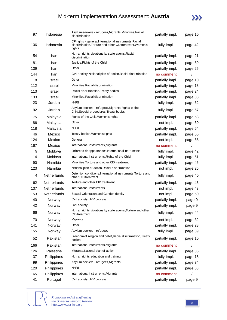

| 97  | Indonesia   | Asylum-seekers - refugees, Migrants, Minorities, Racial<br>discrimination                                                    | partially impl. |         |
|-----|-------------|------------------------------------------------------------------------------------------------------------------------------|-----------------|---------|
| 106 | Indonesia   | CP rights - general, International instruments, Racial<br>discrimination, Torture and other CID treatment, Women's<br>rights | fully impl.     | page 42 |
| 54  | Iran        | Human rights violations by state agents, Racial<br>discrimination                                                            | partially impl. | page 21 |
| 81  | Iran        | Justice, Rights of the Child                                                                                                 | partially impl. | page 59 |
| 139 | Iran        | Other                                                                                                                        | partially impl. | page 25 |
| 144 | Iran        | Civil society, National plan of action, Racial discrimination                                                                | no comment      |         |
| 18  | Israel      | Other                                                                                                                        | partially impl. | page 10 |
| 112 | Israel      | Minorities, Racial discrimination                                                                                            | partially impl. | page 13 |
| 113 | Israel      | Racial discrimination, Treaty bodies                                                                                         | partially impl. | page 24 |
| 133 | Israel      | Minorities, Racial discrimination                                                                                            | partially impl. | page 38 |
| 23  | Jordan      | <b>NHRI</b>                                                                                                                  | fully impl.     | page 62 |
| 92  | Jordan      | Asylum-seekers - refugees, Migrants, Rights of the<br>Child, Special procedures, Treaty bodies                               | fully impl.     | page 57 |
| 75  | Malaysia    | Rights of the Child, Women's rights                                                                                          | partially impl. | page 58 |
| 86  | Malaysia    | Other                                                                                                                        | not impl.       | page 60 |
| 118 | Malaysia    | <b>NHRI</b>                                                                                                                  | partially impl. | page 64 |
| 46  | Mexico      | Treaty bodies, Women's rights                                                                                                | partially impl. | page 56 |
| 124 | Mexico      | General                                                                                                                      | not impl.       | page 65 |
| 167 | Mexico      | International instruments, Migrants                                                                                          | no comment      |         |
| 9   | Moldova     | Enforced disappearances, International instruments                                                                           | fully impl.     | page 42 |
| 14  | Moldova     | International instruments, Rights of the Child                                                                               | fully impl.     | page 51 |
| 90  | Namibia     | Minorities, Torture and other CID treatment                                                                                  | partially impl. | page 46 |
| 123 | Namibia     | National plan of action, Racial discrimination                                                                               | not impl.       | page 26 |
| 4   | Netherlands | Detention conditions, International instruments, Torture and<br>other CID treatment                                          | fully impl.     | page 40 |
| 62  | Netherlands | Torture and other CID treatment                                                                                              | partially impl. | page 45 |
| 137 | Netherlands | International instruments                                                                                                    | not impl.       | page 43 |
| 153 | Netherlands | Sexual Orientation and Gender Identity                                                                                       | not impl.       | page 50 |
| 40  | Norway      | Civil society, UPR process                                                                                                   | partially impl. | page 9  |
| 42  | Norway      | Civil society                                                                                                                | partially impl. | page 9  |
| 66  | Norway      | Human rights violations by state agents, Torture and other<br>CID treatment                                                  | fully impl.     | page 44 |
| 70  | Norway      | Migrants                                                                                                                     | not impl.       | page 32 |
| 141 | Norway      | Other                                                                                                                        | partially impl. | page 28 |
| 155 | Norway      | Asylum-seekers - refugees                                                                                                    | fully impl.     | page 39 |
| 52  | Pakistan    | Freedom of religion and belief, Racial discrimination, Treaty<br>bodies                                                      | partially impl. | page 10 |
| 166 | Pakistan    | International instruments, Migrants                                                                                          | no comment      |         |
| 126 | Palestine   | Migrants, National plan of action                                                                                            | partially impl. | page 36 |
| 37  | Philippines | Human rights education and training                                                                                          | fully impl.     | page 18 |
| 99  | Philippines | Asylum-seekers - refugees, Migrants                                                                                          | partially impl. | page 34 |
| 120 | Philippines | NHRI                                                                                                                         | partially impl. | page 63 |
| 165 | Philippines | International instruments, Migrants                                                                                          | no comment      | 7       |
| 41  | Portugal    | Civil society, UPR process                                                                                                   | partially impl. | page 9  |

INFO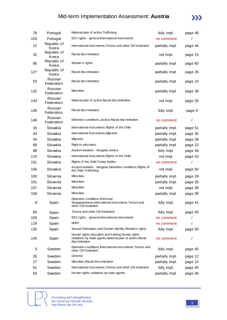

| 78  | Portugal                     | National plan of action, Trafficking                                                                                               | fully impl.     | page 48 |
|-----|------------------------------|------------------------------------------------------------------------------------------------------------------------------------|-----------------|---------|
| 103 | Portugal                     | ESC rights - general, International instruments                                                                                    | no comment      |         |
| 12  | Republic of<br>Korea         | International instruments, Torture and other CID treatment                                                                         | partially impl. | page 44 |
| 32  | Republic of<br>Korea         | Racial discrimination                                                                                                              | not impl.       |         |
| 85  | Republic of<br>Korea         | Women's rights                                                                                                                     | partially impl. | page 60 |
| 127 | Republic of<br>Korea         | Racial discrimination                                                                                                              | partially impl. | page 26 |
| 53  | Russian<br>Federation        | Racial discrimination                                                                                                              | partially impl. | page 10 |
| 132 | Russian<br>Federation        | <b>Minorities</b>                                                                                                                  | partially impl. | page 38 |
| 143 | Russian<br>Federation        | National plan of action, Racial discrimination                                                                                     | not impl.       | page 28 |
| 146 | <b>Russian</b><br>Federation | Racial discrimination                                                                                                              | fully impl.     | page 9  |
| 148 | <b>Russian</b><br>Federation | Detention conditions, Justice, Racial discrimination                                                                               | no comment      | /       |
| 16  | Slovakia                     | International instruments, Rights of the Child                                                                                     | partially impl. | page 51 |
| 43  | Slovakia                     | International instruments, Migrants                                                                                                | partially impl. | page 30 |
| 44  | Slovakia                     | Migrants                                                                                                                           | partially impl. | page 28 |
| 89  | Slovakia                     | Right to education                                                                                                                 | partially impl. | page 23 |
| 98  | Slovakia                     | Asylum-seekers - refugees, Justice                                                                                                 | fully impl.     | page 34 |
| 115 | Slovakia                     | International instruments, Rights of the Child                                                                                     | not impl.       | page 43 |
| 151 | Slovakia                     | Rights of the Child, Treaty bodies                                                                                                 | no comment      | 1       |
| 156 | Slovakia                     | Asylum-seekers - refugees, Detention conditions, Rights of<br>the Child, Trafficking                                               | not impl.       | page 50 |
| 100 | Slovenia                     | <b>Minorities</b>                                                                                                                  | partially impl. | page 29 |
| 101 | Slovenia                     | <b>Minorities</b>                                                                                                                  | partially impl. | page 35 |
| 157 | Slovenia                     | <b>Minorities</b>                                                                                                                  | not impl.       | page 39 |
| 158 | Slovenia                     | <b>Minorities</b>                                                                                                                  | partially impl. | page 39 |
| 8   | Spain                        | Detention conditions, Enforced<br>disappearances, International instruments, Torture and<br>other CID treatment                    | fully impl.     | page 41 |
| 60  | Spain                        | Torture and other CID treatment                                                                                                    | fully impl.     | page 45 |
| 104 | Spain                        | ESC rights - general, International instruments                                                                                    | no comment      |         |
| 119 | Spain                        | <b>NHRI</b>                                                                                                                        | no comment      |         |
| 135 | Spain                        | Sexual Orientation and Gender Identity, Women's rights                                                                             | fully impl.     | page 50 |
| 145 | Spain                        | Human rights education and training, Human rights<br>violations by state agents, National plan of action, Racial<br>discrimination | no comment      | 1       |
| 5   | Sweden                       | Detention conditions, International instruments, Torture and<br>other CID treatment                                                | fully impl.     | page 40 |
| 26  | Sweden                       | General                                                                                                                            | partially impl. | page 12 |
| 27  | Sweden                       | Minorities, Racial discrimination                                                                                                  | partially impl. | page 10 |
| 61  | Sweden                       | International instruments, Torture and other CID treatment                                                                         | fully impl.     | page 45 |
| 64  | Sweden                       | Human rights violations by state agents                                                                                            | partially impl. | page 46 |

INFO

*Promoting and strengthening the Universal Periodic Review* http://www.upr-info.org **<sup>7</sup>**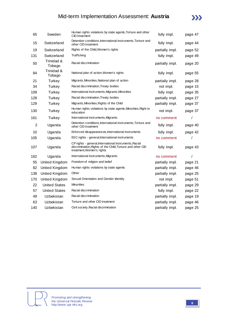

| 65             | Sweden               | Human rights violations by state agents, Torture and other<br>CID treatment                                                                       | fully impl.     | page 47 |
|----------------|----------------------|---------------------------------------------------------------------------------------------------------------------------------------------------|-----------------|---------|
| 15             | Switzerland          | Detention conditions, International instruments, Torture and<br>other CID treatment                                                               | fully impl.     | page 44 |
| 19             | Switzerland          | Rights of the Child, Women's rights                                                                                                               | partially impl. | page 52 |
| 131            | Switzerland          | Trafficking                                                                                                                                       | fully impl.     | page 49 |
| 50             | Trinidad &<br>Tobago | Racial discrimination                                                                                                                             | partially impl. | page 20 |
| 84             | Trinidad &<br>Tobago | National plan of action, Women's rights                                                                                                           | fully impl.     | page 55 |
| 21             | Turkey               | Migrants, Minorities, National plan of action                                                                                                     | partially impl. | page 28 |
| 34             | Turkey               | Racial discrimination, Treaty bodies                                                                                                              | not impl.       | page 15 |
| 109            | Turkey               | International instruments, Migrants, Minorities                                                                                                   | fully impl.     | page 35 |
| 128            | Turkey               | Racial discrimination, Treaty bodies                                                                                                              | partially impl. | page 27 |
| 129            | Turkey               | Migrants, Minorities, Rights of the Child                                                                                                         | partially impl. | page 37 |
| 130            | Turkey               | Human rights violations by state agents, Minorities, Right to<br>education                                                                        | not impl.       | page 37 |
| 161            | Turkey               | International instruments, Migrants                                                                                                               | no comment      | 1       |
| $\overline{2}$ | Uganda               | Detention conditions, International instruments, Torture and<br>other CID treatment                                                               | fully impl.     | page 40 |
| 10             | Uganda               | Enforced disappearances, International instruments                                                                                                | fully impl.     | page 42 |
| 105            | Uganda               | ESC rights - general, International instruments                                                                                                   | no comment      |         |
| 107            | Uganda               | CP rights - general, International instruments, Racial<br>discrimination, Rights of the Child, Torture and other CID<br>treatment, Women's rights | fully impl.     | page 43 |
| 162            | Uganda               | International instruments, Migrants                                                                                                               | no comment      | 7       |
| 55             | United Kingdom       | Freedom of religion and belief                                                                                                                    | partially impl. | page 21 |
| 82             | United Kingdom       | Human rights violations by state agents                                                                                                           | partially impl. | page 46 |
| 138            | United Kingdom       | Other                                                                                                                                             | partially impl. | page 25 |
| 170            | United Kingdom       | Sexual Orientation and Gender Identity                                                                                                            | not impl.       | page 51 |
| 22             | <b>United States</b> | <b>Minorities</b>                                                                                                                                 | partially impl. | page 29 |
| 57             | <b>United States</b> | Racial discrimination                                                                                                                             | fully impl.     | page 22 |
| 49             | Uzbekistan           | Racial discrimination                                                                                                                             | partially impl. | page 19 |
| 63             | Uzbekistan           | Torture and other CID treatment                                                                                                                   | partially impl. | page 46 |
| 140            | Uzbekistan           | Civil society, Racial discrimination                                                                                                              | partially impl. | page 25 |
|                |                      |                                                                                                                                                   |                 |         |

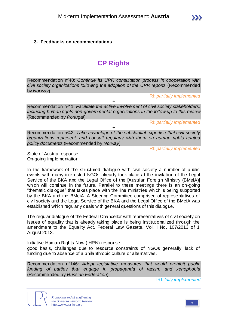## **3. Feedbacks on recommendations**

## **CP Rights**

Recommendation nº40: *Continue its UPR consultation process in cooperation with civil society organizations following the adoption of the UPR reports* (Recommended by *Norway*)

IRI: *partially implemented*

Recommendation nº41: *Facilitate the active involvement of civil society stakeholders, including human rights non-governmental organizations in the follow-up to this review*  (Recommended by *Portugal*)

+

IRI: *partially implemented*

Recommendation nº42: *Take advantage of the substantial expertise that civil society organizations represent, and consult regularly with them on human rights related policy documents* (Recommended by *Norway*)

 $\overline{+}$ 

IRI: *partially implemented*

State of Austria response: On-going Implementation

In the framework of the structured dialogue with civil society a number of public events with many interested NGOs already took place at the invitation of the Legal Service of the BKA and the Legal Office of the [Austrian Foreign Ministry (BMeiA)] which will continue in the future. Parallel to these meetings there is an on-going "thematic dialogue" that takes place with the line ministries which is bei ng supported by the BKA and the BMeiA. A Steering Committee comprised of representatives of civil society and the Legal Service of the BKA and the Legal Office of the BMeiA was established which regularly deals with general questions of this dialogue.

The regular dialogue of the Federal Chancellor with representatives of civil society on issues of equality that is already taking place is being institutionalized through the amendment to the Equality Act, Federal Law Gazette, Vol. I No. 107/2013 of 1 August 2013.

### Initiative Human Rights Now (IHRN) response:

good basis, challenges due to resource constraints of NGOs generally, lack of funding due to absence of a philanthropic culture or alternatives.

Recommendation nº146: *Adopt legislative measures that would prohibit public funding of parties that engage in propaganda of racism and xenophobia* (Recommended by *Russian Federation*)

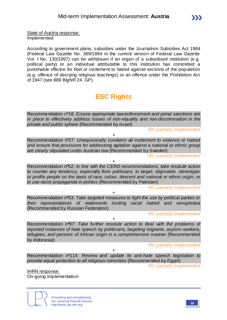State of Austria response:

Implemented

According to government plans, subsidies under the Journalism Subsidies Act 1984 (Federal Law Gazette No. 369/1984 in the current version of Federal Law Gazette Vol. I No. 130/1997) can be withdrawn if an organ of a subsidised institution (e.g. political party) or an individual attributable to this institution has committed a punishable offence for libel or incitement to hatred against sections of the population (e.g. offence of decrying religious teachings) or an offence under the Prohibition Act of 1947 (see 889 BlgNR 24. GP).

# **ESC Rights**

Recommendation nº18: *Ensure appropriate law enforcement and penal sanctions are in place to effectively address issues of non-equality and non-discrimination in the private and public sphere* (Recommended by *Israel*)

IRI: *partially implemented*

+ Recommendation nº27: *Unequivocally condemn all incitement to violence or hatred and ensure that provisions for addressing agitation against a national or ethnic group are clearly stipulated under Austrian law* (Recommended by *Sweden*)

IRI: *partially implemented*

+ Recommendation nº52: *In line with the CERD recommendations, take resolute action to counter any tendency, especially from politicians, to target, stigmatize, stereotype or profile people on the basis of race, colour, descent and national or ethnic origin, or to use racist propaganda in politics* (Recommended by *Pakistan*)

IRI: *partially implemented*

+ Recommendation nº53: *Take targeted measures to fight the use by political parties or their representatives of statements inciting racial hatred and xenophobia*  (Recommended by *Russian Federation*)

IRI: *partially implemented*

Recommendation nº97: *Take further resolute action to deal with the problems of reported instances of hate speech by politicians, targeting migrants, asylum-seekers, refugees, and persons of African origin in a comprehensive manner* (Recommended by *Indonesia*)

 $+$ 

IRI: *partially implemented*

Recommendation nº114: *Review and update its anti-hate speech legislation to provide equal protection to all religious minorities* (Recommended by *Egypt*)

+

IRI: *partially implemented*

IHRN response: On-going Implementation



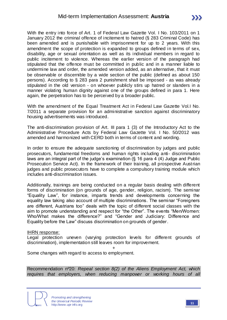With the entry into force of Art. 1 of Federal Law Gazette Vol. I No. 103/2011 on 1 January 2012 the criminal offence of incitement to hatred (§ 283 Criminal Code) has been amended and is punishable with imprisonment for up to 2 years. With this amendment the scope of protection is expanded to groups defined in terms of sex, disability, age or sexual orientation as well as its individual members in regard to public incitement to violence. Whereas the earlier version of the paragraph had stipulated that the offence must be committed in public and in a manner liable to undermine law and order, the amended version added, as an alternative, that it must be observable or discernible by a wide section of the public (defined as about 150 persons). According to § 283 para 2 punishment shall be imposed - as was already stipulated in the old version - on whoever publicly stirs up hatred or slanders in a manner violating human dignity against one of the groups defined in para 1. Here again, the perpetration has to be perceived by a broader public.

With the amendment of the Equal Treatment Act in Federal Law Gazette Vol.I No. 7/2011 a separate provision for an administrative sanction against discriminatory housing advertisements was introduced.

The anti-discrimination provision of Art. III para 1 (3) of the Introductory Act to the Administrative Procedure Acts by Federal Law Gazette Vol. I No. 50/2012 was amended and harmonized with CERD both in terms of content and wording.

In order to ensure the adequate sanctioning of discrimination by judges and public prosecutors, fundamental freedoms and human rights including anti- discrimination laws are an integral part of the judge's examination (§ 16 para 4 (4) Judge and Public Prosecution Service Act). In the framework of their training, all prospective Austrian judges and public prosecutors have to complete a compulsory training module which includes anti-discrimination issues.

Additionally, trainings are being conducted on a regular basis dealing with different forms of discrimination (on grounds of age, gender, religion, racism). The seminar "Equality Law", for instance, imparts trends and developments concerning the equality law taking also account of multiple discriminations. The seminar "Foreigners are different, Austrians too" deals with the topic of different social classes with the aim to promote understanding and respect for "the Other". The events "Men/Women: Who/What makes the difference?" and "Gender and Judiciary: Difference and Equality before the Law" discuss discrimination on grounds of gender.

#### IHRN response:

Legal protection uneven (varying protection levels for different grounds of discrimination), implementation still leaves room for improvement.

+

Some changes with regard to access to employment.

Recommendation nº20: *Repeal section 8(2) of the Aliens Employment Act, which requires that employers, when reducing manpower or working hours of all* 



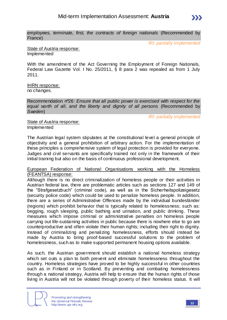*employees, terminate, first, the contracts of foreign nationals* (Recommended by *France*)

IRI: *partially implemented*

State of Austria response: Implemented

With the amendment of the Act Governing the Employment of Foreign Nationals, Federal Law Gazette Vol. I No. 25/2011, § 8 para 2 was repealed as from 1 July 2011.

IHRN response: no changes.

Recommendation nº26: *Ensure that all public power is exercised with respect for the equal worth of all, and the liberty and dignity of all persons* (Recommended by *Sweden*)

IRI: *partially implemented*

State of Austria response: Implemented

The Austrian legal system stipulates at the constitutional level a general principle of objectivity and a general prohibition of arbitrary action. For the implementation of these principles a comprehensive system of legal protection is provided for everyone. Judges and civil servants are specifically trained not only in the framework of their initial training but also on the basis of continuous professional development.

#### European Federation of National Organisations working with the Homeless (FEANTSA) response:

Although there is no direct criminalization of homeless people or their activities in Austrian federal law, there are problematic articles such as sections 127 and 149 of the "Strafgesetzbuch" (criminal code), as well as in the Sicherheitspolizeigesetz (security police code) which could be used to penalize homeless people. In addition, there are a series of Administrative Offences made by the individual bundesländer (regions) which prohibit behavior that is typically related to homelessness; such as: begging, rough sleeping, public bathing and urination, and public drinking. These measures which impose criminal or administrative penalties on homeless people carrying out life-sustaining activities in public because there is nowhere else to go are counterproductive and often violate their human rights; including their right to dignity. Instead of criminalizing and penalizing homelessness, efforts should instead be made by Austria to bring proof-based successful solutions to the problem of homelessness, such as to make supported permanent housing options available.

As such, the Austrian government should establish a national homeless strategy which set outs a plan to both prevent and eliminate homelessness throughout the country. Homeless strategies have proved to be highly successful in other countries such as in Finland or in Scotland. By preventing and combating homelessness through a national strategy, Austria will help to ensure that the human rights of those living in Austria will not be violated through poverty of their homeless status. It will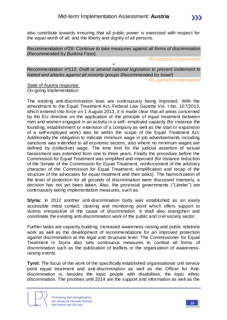

Recommendation nº28: *Continue to take measures against all forms of discrimination*  (Recommended by *Burkina Faso*)

IRI: *partially implemented*

Recommendation nº112: *Draft or amend national legislation to prevent incitement to hatred and attacks against all minority groups* (Recommended by *Israel*)

+

IRI: *partially implemented*

State of Austria response: On-going Implementation

The existing anti-discrimination laws are continuously being improved. With the amendment to the Equal Treatment Act, Federal Law Gazette Vol. I No. 107/2013, which entered into force on 1 August 2013, it is made clear that all areas concerned by the EU directive on the application of the principle of equal treatment between men and women engaged in an activity in a self- employed capacity (for instance the founding, establishment or extension of a company as well as the start or expansion of a self-employed work) also lie within the scope of the Equal Treatment Act. Additionally the obligation to indicate minimum wage in job advertisements including sanctions was extended to all economic sectors, also where no minimum wages are defined by (collective) wage. The time limit for the judicial assertion of sexual harassment was extended from one to three years. Finally the procedure before the Commission for Equal Treatment was simplified and improved (for instance reduction of the Senate of the Commission for Equal Treatment, reinforcement of the arbitrary character of the Commission for Equal Treatment, simplification and recap of the structure of the advocates for equal treatment and their tasks). The harmonization of the level of protection for all grounds of discrimination were discussed intensely, a decision has not yet been taken. Also, the provincial governments ("Länder") are continuously taking implementation measures, such as:

**Styria:** In 2012 another anti-discrimination body was established as an easily accessible initial contact, clearing and monitoring point which offers support to victims irrespective of the cause of discrimination. It shall also strengthen and coordinate the existing anti-discrimination work of the public and civil society sector.

Further tasks are capacity building, increased awareness-raising and public relations work as well as the development of recommendations for an improved protection against discrimination at the legal and structural level. The Commissioner for Equal Treatment in Styria also sets continuous measures to combat all forms of discrimination such as the publication of leaflets or the organization of awarenessraising events.

**Tyrol:** The focus of the work of the specifically established organisational unit service point equal treatment and anti-discrimination as well as the Officer for Antidiscrimination is, besides the topic people with disabilities, the topic ethnic discrimination. The priorities until 2014 are the support and information as well as the

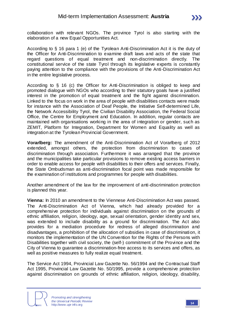

collaboration with relevant NGOs. The province Tyrol is also starting with the elaboration of a new Equal Opportunities Act.

According to § 16 para 1 (e) of the Tyrolean Anti-Discrimination Act it is the duty of the Officer for Anti-Discrimination to examine draft laws and acts of the state that regard questions of equal treatment and non-discrimination directly. The constitutional service of the state Tyrol through its legislative experts is constantly paying attention to the compliance with the provisions of the Anti-Discrimination Act in the entire legislative process.

According to § 16 (c) the Officer for Anti-Discrimination is obliged to keep and promoted dialogue with NGOs who according to their statutory goals have a justified interest in the promotion of equal treatment and the fight against discrimination. Linked to the focus on work in the area of people with disabilities contacts were made for instance with the Association of Deaf People, the Initiative Self-determined Life, the Network Accessibility Tyrol, the Civilian Disability Association, the Federal Social Office, the Centre for Employment and Education. In addition, regular contacts are maintained with organisations working in the area of integration or gender, such as ZEMIT, Platform for Integration, Department for Women and Equality as well as integration at the Tyrolean Provincial Government.

**Vorarlberg:** The amendment of the Anti-Discrimination Act of Vorarlberg of 2012 extended, amongst others, the protection from discrimination to cases of discrimination through association. Furthermore it was arranged that the province and the municipalities take particular provisions to remove existing access barriers in order to enable access for people with disabilities to their offers and services. Finally, the State Ombudsman as anti-discrimination focal point was made responsible for the examination of institutions and programmes for people with disabilities.

Another amendment of the law for the improvement of anti-discrimination protection is planned this year.

**Vienna:** In 2010 an amendment to the Viennese Anti-Discrimination Act was passed. The Anti-Discrimination Act of Vienna, which had already provided for a comprehensive protection for individuals against discrimination on the grounds of ethnic affiliation, religion, ideology, age, sexual orientation, gender identity and sex, was extended to include disability as a ground for discrimination. The Act also provides for a mediation procedure for redress of alleged discrimination and disadvantages, a prohibition of the allocation of subsidies in case of discrimination, it monitors the implementation of the UN Convention for the Rights of the Persons with Disabilities together with civil society, the (self-) commitment of the Province and the City of Vienna to guarantee a discrimination-free access to its services and offers, as well as positive measures to fully realize equal treatment.

The Service Act 1994, Provincial Law Gazette No. 56/1994 and the Contractual Staff Act 1995, Provincial Law Gazette No. 50/1995, provide a comprehensive protection against discrimination on grounds of ethnic affiliation, religion, ideology, disability,

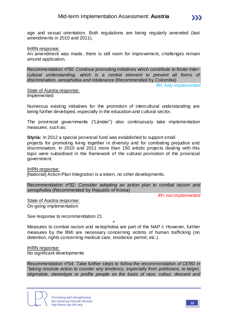

age and sexual orientation. Both regulations are being regularly amended (last amendments in 2010 and 2011).

IHRN response:

An amendment was made, there is still room for improvement, challenges remain around application.

Recommendation nº30: *Continue promoting initiatives which contribute to foster intercultural understanding, which is a central element to prevent all forms of discrimination, xenophobia and intolerance* (Recommended by *Colombia*)

IRI: *fully implemented*

State of Austria response: Implemented

Numerous existing initiatives for the promotion of intercultural understanding are being further developed, especially in the education and cultural sector.

The provincial governments ("Länder") also continuously take implementation measures, such as:

**Styria:** In 2012 a special provincial fund was established to support small

projects for promoting living together in diversity and for combating prejudice and discrimination. In 2010 and 2011 more than 150 artistic projects dealing with this topic were subsidised in the framework of the cultural promotion of the provincial government.

IHRN response:

[National] Action Plan Integration is a token, no other developments.

Recommendation nº32: *Consider adopting an action plan to combat racism and xenophobia* (Recommended by *Republic of Korea*)

IRI: *not implemented*

State of Austria response: On-going implementation

See response to recommendation 21

+ Measures to combat racism and xenophobia are part of the NAP-I. However, further measures by the BMI are necessary concerning victims of human trafficking (no detention, rights concerning medical care, residence permit, etc.).

IHRN response: No significant developments

Recommendation nº34: *Take further steps to follow the recommendation of CERD in "taking resolute action to counter any tendency, especially from politicians, to target, stigmatize, stereotype or profile people on the basis of race, colour, descent and* 

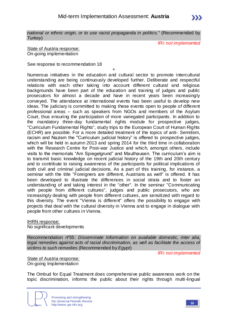*national or ethnic origin, or to use racist propaganda in politics."* (Recommended by *Turkey*)

IRI: *not implemented*

State of Austria response: On-going implementation

See response to recommendation 18

+ Numerous initiatives in the education and cultural sector to promote intercultural understanding are being continuously developed further. Deliberate and respectful relations with each other taking into account different cultural and religious backgrounds have been part of the education and training of judges and public prosecutors for almost a decade and have in recent years been increasingly conveyed. The attendance at international events has been useful to develop new ideas. The judiciary is committed to making these events open to people of different professional areas – such as speakers from NGOs and members of the Asylum Court, thus ensuring the participation of more variegated participants. In addition to the mandatory three-day fundamental rights module for prospective judges, "Curriculum Fundamental Rights", study trips to the European Court of Human Rights (ECHR) are possible. For a more detailed treatment of the topics of anti- Semitism, racism and Nazism the "Curriculum judicial history" is offered to prospective judges, which will be held in autumn 2013 and spring 2014 for the third time in collaboration with the Research Centre for Post-war Justice and which, amongst others, include visits to the memorials "Am Spiegelgrund" and Mauthausen. The curriculum's aim is to transmit basic knowledge on recent judicial history of the 19th and 20th century and to contribute to raising awareness of the participants for political implications of both civil and criminal judicial decisions. As a part of this training, for instance, a seminar with the title "Foreigners are different, Austrians as well" is offered. It has been developed to illustrate the differences in social strata and to foster an understanding of and taking interest in the "other". In the seminar "Communicating with people from different cultures", judges and public prosecutors, who are increasingly dealing with people from different cultures, are sensitized with regard to this diversity. The event "Vienna is different" offers the possibility to engage with projects that deal with the cultural diversity in Vienna and to engage in dialogue with people from other cultures in Vienna.

IHRN response:

No significant developments

Recommendation nº35: *Disseminate information on available domestic, inter alia, legal remedies against acts of racial discrimination, as well as facilitate the access of victims to such remedies* (Recommended by *Egypt*)

IRI: *not implemented*

State of Austria response: On-going Implementation

The Ombud for Equal Treatment does comprehensive public awareness work on the topic discrimination, informs the public about their rights through multi-lingual

*Promoting and strengthening the Universal Periodic Review* http://www.upr-info.org **16**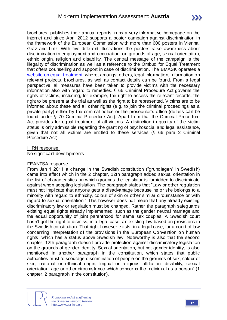brochures, publishes their annual reports, runs a very informative homepage on the internet and since April 2012 supports a poster campaign against discrimination in the framework of the European Commission with more than 600 posters in Vienna, Graz and Linz. With five different illustrations the posters raise awareness about discrimination in employment and occupation, on grounds of age, sexual orientation, ethnic origin, religion and disability. The central message of the campaign is the illegality of discrimination as well as a reference to the Ombud for Equal Treatment that offers counselling and support in case of discrimination. The BMASK operates a [website on equal treatment,](http://www.chancen-gleichheit.at/) where, amongst others, legal information, information on relevant projects, brochures, as well as contact details can be found. From a legal perspective, all measures have been taken to provide victims with the necessary information also with regard to remedies. § 66 Criminal Procedure Act governs the rights of victims, including, for example, the right to access the relevant records, the right to be present at the trial as well as the right to be represented. Victims are to be informed about these and all other rights (e.g. to join the criminal proceedings as a private party) either by the criminal police or the prosecutor's office (details can be found under § 70 Criminal Procedure Act). Apart from that the Criminal Procedure Act provides for equal treatment of all victims. A distinction in quality of the victim status is only admissible regarding the granting of psychosocial and legal assistance, given that not all victims are entitled to these services (§ 66 para 2 Criminal Procedure Act).

### IHRN response:

No significant developments

### FEANTSA response:

From Jan 1 2011 a change in the Swedish constitution ("grundlagen" in Swedish) came into effect which in the 2 chapter, 12th paragraph added sexual orientation in the list of characteristics on which grounds the legislator is forbidden to discriminate against when adopting legislation. The paragraph states that "Law or other regulation must not implicate that anyone gets a disadvantage because he or she belongs to a minority with regard to ethnicity, colour of skin or other similar circumstance or with regard to sexual orientation." This however does not mean that any already existing discriminatory law or regulation must be changed. Rather the paragraph safeguards existing equal rights already implemented, such as the gender neutral marriage and the equal opportunity of joint parenthood for same sex couples. A Swedish court hasn't got the right to dismiss, in a legal case, an existing law based on provisions in the Swedish constitution. That right however exists, in a legal case, for a court of law concerning interpretation of the provisions in the European Convention on human rights, which has a status above Swedish law. Noteworthy is also that the second chapter, 12th paragraph doesn't provide protection against discriminatory legislation on the grounds of gender identity. Sexual orientation, but not gender identity, is also mentioned in another paragraph in the constitution, which states that public authorities must "discourage discrimination of people on the grounds of sex, colour of skin, national or ethnical origin, lingual or religious affiliation, disability, sexual orientation, age or other circumstance which concerns the individual as a person" (1 chapter, 2 paragraph in the constitution).

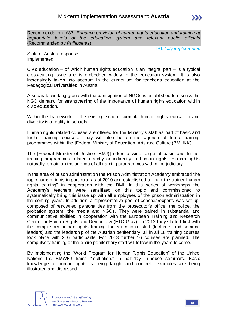

IRI: *fully implemented*

State of Austria response: Implemented

Civic education – of which human rights education is an integral part  $-$  is a typical cross-cutting issue and is embedded widely in the education system. It is also increasingly taken into account in the curriculum for teacher's education at the Pedagogical Universities in Austria.

A separate working group with the participation of NGOs is established to discuss the NGO demand for strengthening of the importance of human rights education within civic education.

Within the framework of the existing school curricula human rights education and diversity is a reality in schools.

Human rights related courses are offered for the Ministry's staff as part of basic and further training courses. They will also be on the agenda of future training programmes within the [Federal Ministry of Education, Arts and Culture (BMUKK)].

The [Federal Ministry of Justice (BMJ)] offers a wide range of basic and further training programmes related directly or indirectly to human rights. Human rights naturally remain on the agenda of all training programmes within the judiciary.

In the area of prison administration the Prison Administration Academy embraced the topic human rights in particular as of 2010 and established a "train-the-trainer human rights training" in cooperation with the BMI. In this series of workshops the Academy's teachers were sensitized on this topic and commissioned to systematically bring this issue up with all employees of the prison administration in the coming years. In addition, a representative pool of coaches/experts was set up, composed of renowned personalities from the prosecutor's office, the police, the probation system, the media and NGOs. They were trained in substantial and communicative abilities in cooperation with the European Training and Research Centre for Human Rights and Democracy (ETC Graz). In 2012 they started first with the compulsory human rights training for educational staff (lecturers and seminar leaders) and the leadership of the Austrian penitentiary; all in all 18 training courses took place with 216 participants. For 2013 further 16 courses are planned. The compulsory training of the entire penitentiary staff will follow in the years to come.

By implementing the "World Program for Human Rights Education" of the United Nations the BMWFJ trains "multipliers" in half-day in-house seminars. Basic knowledge of human rights is being taught and concrete examples a re being illustrated and discussed.

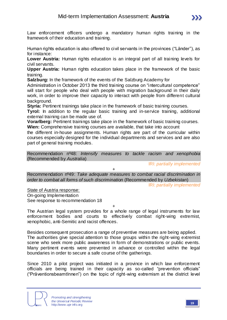Human rights education is also offered to civil servants in the provinces ("Länder"), as for instance:

**Lower Austria:** Human rights education is an integral part of all training levels for civil servants.

**Upper Austria:** Human rights education takes place in the framework of the basic training.

**Salzburg:** In the framework of the events of the Salzburg Academy for

Administration in October 2013 the third training course on "intercultural competence" will start for people who deal with people with migration background in their daily work, in order to improve their capacity to interact with people from different cultural background.

**Styria:** Pertinent trainings take place in the framework of basic training courses.

**Tyrol:** In addition to the regular basic training and in-service training, additional external training can be made use of.

**Vorarlberg:** Pertinent trainings take place in the framework of basic training courses. **Wien:** Comprehensive training courses are available, that take into account

the different in-house assignments. Human rights are part of the curricular within courses especially designed for the individual departments and services and are also part of general training modules.

Recommendation nº48: *Intensify measures to tackle racism and xenophobia*  (Recommended by *Australia*)

IRI: *partially implemented*

Recommendation nº49: *Take adequate measures to combat racial discrimination in order to combat all forms of such discrimination* (Recommended by *Uzbekistan*)

 $+$ 

IRI: *partially implemented*

State of Austria response:

On-going Implementation

See response to recommendation 18

+ The Austrian legal system provides for a whole range of legal instruments for law enforcement bodies and courts to effectively combat right-wing extremist, xenophobic, anti-Semitic and racist offences.

Besides consequent prosecution a range of preventive measures are being applied. The authorities give special attention to those groups within the right-wing extremist scene who seek more public awareness in form of demonstrations or public events. Many pertinent events were prevented in advance or controlled within the legal boundaries in order to secure a safe course of the gatherings.

Since 2010 a pilot project was initiated in a province in which law enforcement officials are being trained in their capacity as so-called "prevention officials" ("Präventionsbeamt lnnen") on the topic of right-wing extremism at the district level



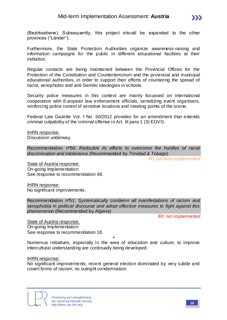

(Bezirksebene). Subsequently, this project should be expanded to the other provinces ("Länder").

Furthermore, the State Protection Authorities organize awareness-raising and information campaigns for the public in different educational facilities at their invitation.

Regular contacts are being maintained between the Provincial Offices for the Protection of the Constitution and Counterterrorism and the provincial and municipal educational authorities, in order to support their efforts of countering the spread of racist, xenophobic and anti-Semitic ideologies in schools.

Security police measures in this context are mainly focussed on international cooperation with European law enforcement officials, sensitizing event organisers, reinforcing police control of sensitive locations and meeting points of the scene.

Federal Law Gazette Vol. I No. 50/2012 provides for an amendment that extends criminal culpability of the criminal offense in Art. III para 1 (3) EGVG.

IHRN response: Discussion underway.

Recommendation nº50: *Redouble its efforts to overcome the hurdles of racial discrimination and intolerance* (Recommended by *Trinidad & Tobago*)

IRI: *partially implemented*

State of Austria response: On-going Implementation See response to recommendation 48.

IHRN response: No significant improvements.

Recommendation nº51: *Systematically condemn all manifestations of racism and xenophobia in political discourse and adopt effective measures to fight against this phenomenon* (Recommended by *Algeria*)

IRI: *not implemented*

State of Austria response: On-going Implementation See response to recommendation 18

+

Numerous initiatives, especially in the area of education and culture, to improve intercultural understanding are continually being developed.

IHRN response:

No significant improvements; recent general election dominated by very subtle and covert forms of racism, no outright condemnation.

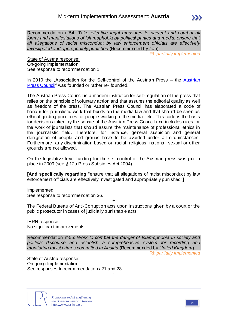*all allegations of racist misconduct by law enforcement officials are effectively* 

*investigated and appropriately punished* (Recommended by *Iran*) IRI: *partially implemented*

State of Austria response: On-going Implementation See response to recommendation 1

+

In 2010 the "Association for the Self-control of the [Austrian](http://www.presserat.at/) Press – the Austrian [Press Council"](http://www.presserat.at/) was founded or rather re- founded.

The Austrian Press Council is a modern institution for self-regulation of the press that relies on the principle of voluntary action and that assures the editorial quality as well as freedom of the press. The Austrian Press Council has elaborated a code of honour for journalistic work that builds on the media law and that should be seen as ethical guiding principles for people working in the media field. This code is the basis for decisions taken by the senate of the Austrian Press Council and includes rules for the work of journalists that should assure the maintenance of professional ethics in the journalistic field. Therefore, for instance, general suspicion and general denigration of people and groups have to be avoided under all circumstances. Furthermore, any discrimination based on racial, religious, national, sexual or other grounds are not allowed.

On the legislative level funding for the self-control of the Austrian press was put in place in 2009 (see § 12a Press Subsidies Act 2004).

**[And specifically regarding** "ensure that all allegations of racist misconduct by law enforcement officials are effectively investigated and appropriately punished"**]**

Implemented See response to recommendation 36.

+

The Federal Bureau of Anti-Corruption acts upon instructions given by a court or the public prosecutor in cases of judicially punishable acts.

IHRN response: No significant improvements.

Recommendation nº55: *Work to combat the danger of Islamophobia in society and political discourse and establish a comprehensive system for recording and monitoring racist crimes committed in Austria* (Recommended by *United Kingdom*)

IRI: *partially implemented*

State of Austria response: On-going Implementation. See responses to recommendations 21 and 28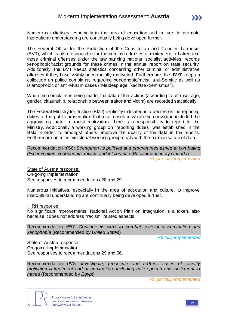Numerous initiatives, especially in the area of education and culture, to promote intercultural understanding are continually being developed further.

The Federal Office for the Protection of the Constitution and Counter Terrorism (BVT), which is also responsible for the criminal offenses of incitement to hatred and those criminal offenses under the law banning national socialist activities, records xenophobic/racist grounds for these crimes in the annual report on state security. Additionally, the BVT keeps statistics concerning other criminal or administrative offenses if they have visibly been racially motivated. Furthermore, the .BVT keeps a collection on police complaints regarding xenophobic/racist, anti-Semitic as well as islamophobic or anti-Muslim cases ("Meldespiegel Rechtsextremismus").

When the complaint is being made, the data of the victims (according to offense, age, gender, citizenship, relationship between traitor and victim) are recorded statistically.

The Federal Ministry for Justice (BMJ) explicitly indicated in a decree on the reporting duties of the public prosecution that in all cases in which the conviction included the aggravating factor of racist motivation, there is a responsibility to report to the Ministry. Additionally a working group on "reporting duties" was established in the BMJ in order to, amongst others, improve the quality of the data in the reports. Furthermore an inter-ministerial working group deals with the harmonisation of data.

Recommendation nº56: *Strengthen its policies and programmes aimed at combating discrimination, xenophobia, racism and intolerance* (Recommended by *Canada*) IRI: *partially implemented*

State of Austria response: On-going Implementation See responses to recommendations 28 and 29

+

Numerous initiatives, especially in the area of education and culture, to improve intercultural understanding are continually being developed further.

IHRN response:

No significant improvements. National Action Plan on Integration is a token, also because it does not address "racism" related aspects.

Recommendation nº57: *Continue its work to combat societal discrimination and xenophobia* (Recommended by *United States*)

IRI: *fully implemented*

State of Austria response: On-going Implementation See responses to recommendations 29 and 56.

Recommendation nº73: *Investigate, prosecute and redress cases of racially motivated ill-treatment and discrimination, including hate speech and incitement to hatred* (Recommended by *Egypt*)

IRI: *partially implemented*



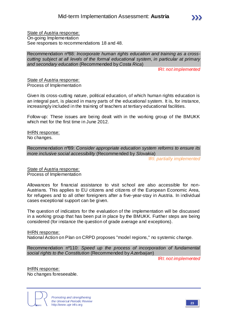State of Austria response: On-going Implementation See responses to recommendations 18 and 48.

Recommendation nº88: *Incorporate human rights education and training as a crosscutting subject at all levels of the formal educational system, in particular at primary and secondary education* (Recommended by *Costa Rica*)

IRI: *not implemented*

State of Austria response: Process of Implementation

Given its cross-cutting nature, political education, of which human rights education is an integral part, is placed in many parts of the educational system. It is, for instance, increasingly included in the training of teachers at tertiary educational facilities.

Follow-up: These issues are being dealt with in the working group of the BMUKK which met for the first time in June 2012.

IHRN response: No changes.

Recommendation nº89: *Consider appropriate education system reforms to ensure its more inclusive social accessibility* (Recommended by *Slovakia*)

IRI: *partially implemented*

State of Austria response: Process of Implementation

Allowances for financial assistance to visit school are also accessible for non-Austrians. This applies to EU citizens and citizens of the European Economic Area, for refugees and to all other foreigners after a five-year-stay in Austria. In individual cases exceptional support can be given.

The question of indicators for the evaluation of the implementation will be discussed in a working group that has been put in place by the BMUKK. Further steps are being considered (for instance the question of grade average and exceptions).

IHRN response: National Action on Plan on CRPD proposes "model regions," no systemic change.

Recommendation nº110: *Speed up the process of incorporation of fundamental social rights to the Constitution* (Recommended by *Azerbaijan*)

IRI: *not implemented*

IHRN response: No changes foreseeable.

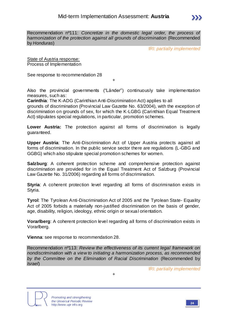Recommendation nº111: *Concretize in the domestic legal order, the process of harmonization of the protection against all grounds of discrimination* (Recommended by *Honduras*)

IRI: *partially implemented*

State of Austria response: Process of Implementation

See response to recommendation 28

Also the provincial governments ("Länder") continuously take implementation measures, such as:

+

**Carinthia**: The K-ADG (Carinthian Anti-Discrimination Act) applies to all

grounds of discrimination (Provincial Law Gazette No. 63/2004), with the exception of discrimination on grounds of sex, for which the K-LGBG (Carinthian Equal Treatment Act) stipulates special regulations, in particular, promotion schemes.

**Lower Austria:** The protection against all forms of discrimination is legally guaranteed.

**Upper Austria**: The Anti-Discrimination Act of Upper Austria protects against all forms of discrimination. In the public service sector there are regulations (L-GBG and GGBG) which also stipulate special promotion schemes for women.

**Salzburg**: A coherent protection scheme and comprehensive protection against discrimination are provided for in the Equal Treatment Act of Salzburg (Provincial Law Gazette No. 31/2006) regarding all forms of discrimination.

**Styria**: A coherent protection level regarding all forms of discrimination exists in Styria.

**Tyrol**: The Tyrolean Anti-Discrimination Act of 2005 and the Tyrolean State- Equality Act of 2005 forbids a materially non-justified discrimination on the basis of gender, age, disability, religion, ideology, ethnic origin or sexual orientation.

**Vorarlberg**: A coherent protection level regarding all forms of discrimination exists in Vorarlberg.

**Vienna**: see response to recommendation 28.

Recommendation nº113: *Review the effectiveness of its current legal framework on nondiscrimination with a view to initiating a harmonization process, as recommended by the Committee on the Elimination of Racial Discrimination* (Recommended by *Israel*)

+

IRI: *partially implemented*

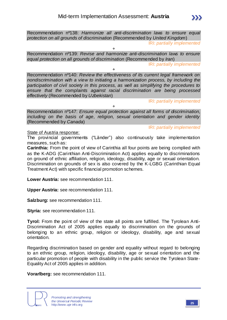IRI: *partially implemented*

+ Recommendation nº139: *Revise and harmonize anti-discrimination laws to ensure equal protection on all grounds of discrimination* (Recommended by *Iran*)

+

IRI: *partially implemented*

Recommendation nº140: *Review the effectiveness of its current legal framework on nondiscrimination with a view to initiating a harmonization process, by including the participation of civil society in this process, as well as simplifying the procedures to ensure that the complaints against racial discrimination are being processed effectively* (Recommended by *Uzbekistan*)

IRI: *partially implemented*

+

Recommendation nº147: *Ensure equal protection against all forms of discrimination, including on the basis of age, religion, sexual orientation and gender identity* (Recommended by *Canada*)

IRI: *partially implemented*

State of Austria response:

The provincial governments ("Länder") also continuously take implementation measures, such as:

**Carinthia:** From the point of view of Carinthia all four points are being complied with as the K-ADG (Carinthian Anti-Discrimination Act) applies equally to discriminations on ground of ethnic affiliation, religion, ideology, disability, age or sexual orientation. Discrimination on grounds of sex is also covered by the K-LGBG (Carinthian Equal Treatment Act) with specific financial promotion schemes.

**Lower Austria:** see recommendation 111.

**Upper Austria:** see recommendation 111.

**Salzburg:** see recommendation 111.

**Styria:** see recommendation 111.

**Tyrol:** From the point of view of the state all points are fulfilled. The Tyrolean Anti-Discrimination Act of 2005 applies equally to discrimination on the grounds of belonging to an ethnic group, religion or ideology, disability, age and sexual orientation.

Regarding discrimination based on gender and equality without regard to belonging to an ethnic group, religion, ideology, disability, age or sexual orientation and the particular promotion of people with disability in the public service the Tyrolean State-Equality Act of 2005 applies in addition.

**Vorarlberg:** see recommendation 111.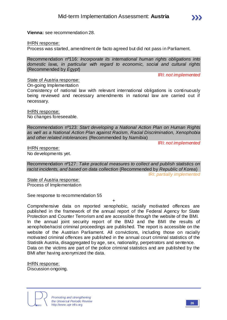**Vienna:** see recommendation 28.

IHRN response:

Process was started, amendment de facto agreed but did not pass in Parliament.

Recommendation nº116: *Incorporate its international human rights obligations into domestic laws, in particular with regard to economic, social and cultural rights*  (Recommended by *Egypt*)

IRI: *not implemented*

State of Austria response: On-going Implementation

Consistency of national law with relevant international obligations is continuously being reviewed and necessary amendments in national law are carried out if necessary.

IHRN response: No changes foreseeable.

Recommendation nº123: *Start developing a National Action Plan on Human Rights as well as a National Action Plan against Racism, Racial Discrimination, Xenophobia and other related intolerances* (Recommended by *Namibia*)

IRI: *not implemented*

IHRN response: No developments yet.

Recommendation nº127: *Take practical measures to collect and publish statistics on racist incidents, and based on data collection* (Recommended by *Republic of Korea*) IRI: *partially implemented*

State of Austria response: Process of Implementation

See response to recommendation 55

+ Comprehensive data on reported xenophobic, racially motivated offences are published in the framework of the annual report of the Federal Agency for State Protection and Counter Terrorism and are accessible through the website of the BMI. In the annual joint security report of the BMJ and the BMI the results of xenophobe/racist criminal proceedings are published. The report is accessible on the website of the Austrian Parliament. All convictions, including those on racially motivated criminal offences are published in the annual court criminal statistics of the Statistik Austria, disaggregated by age, sex, nationality, perpetrators and sentence. Data on the victims are part of the police criminal statistics and are published by the BMI after having anonymized the data.

IHRN response: Discussion ongoing.

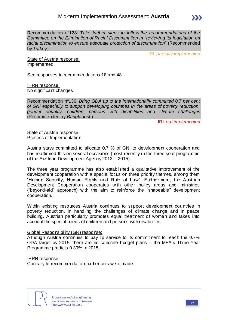

Recommendation nº128: *Take further steps to follow the recommendations of the Committee on the Elimination of Racial Discrimination in "reviewing its legislation on racial discrimination to ensure adequate protection of discrimination"* (Recommended by *Turkey*)

IRI: *partially implemented*

State of Austria response: Implemented

See responses to recommendations 18 and 48.

IHRN response: No significant changes.

Recommendation nº136: *Bring ODA up to the internationally committed 0.7 per cent of GNI especially to support developing countries in the areas of poverty reduction, gender equality, children, persons with disabilities and climate challenges*  (Recommended by *Bangladesh*)

IRI: *not implemented*

State of Austria response: Process of Implementation

Austria stays committed to allocate 0.7 % of GNI to development cooperation and has reaffirmed this on several occasions (most recently in the three year programme of the Austrian Development Agency 2013 – 2015).

The three year programme has also established a qualitative improvement of the development cooperation with a special focus on three priority themes, among them "Human Security, Human Rights and Rule of Law". Furthermore, the Austrian Development Cooperation cooperates with other policy areas and ministries ("beyond-aid" approach) with the aim to reinforce the "shapeable" development cooperation.

Within existing resources Austria continues to support development countries in poverty reduction, in handling the challenges of climate change and in peace building. Austrian particularly promotes equal treatment of women and takes into account the special needs of children and persons with disabilities.

### Global Responsibility (GR) response:

Although Austria continues to pay lip service to its commitment to reach the 0.7% ODA target by 2015, there are no concrete budget plans – the MFA's Three-Year Programme predicts 0.39% in 2015.

#### IHRN response:

Contrary to recommendation further cuts were made.

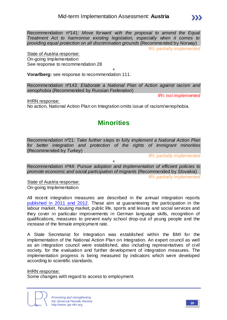Recommendation nº141: *Move forward with the proposal to amend the Equal Treatment Act to harmonise existing legislation, especially when it comes to providing equal protection on all discrimination grounds* (Recommended by *Norway*)

IRI: *partially implemented*

State of Austria response: On-going Implementation See response to recommendation 28

+ **Vorarlberg:** see response to recommendation 111.

Recommendation nº143: *Elaborate a National Plan of Action against racism and xenophobia* (Recommended by *Russian Federation*)

IRI: *not implemented*

IHRN response:

No action, National Action Plan on Integration omits issue of racism/xenophobia.

## **Minorities**

Recommendation nº21: *Take further steps to fully implement a National Action Plan for better integration and protection of the rights of immigrant minorities*  (Recommended by *Turkey*)

IRI: *partially implemented*

+

Recommendation nº44: *Pursue adoption and implementation of efficient policies to promote economic and social participation of migrants* (Recommended by *Slovakia*)

IRI: *partially implemented*

State of Austria response: On-going Implementation

All recent integration measures are described in the annual integration reports [published in 2011 and 2012.](http://www.integration.at/) These aim at guaranteeing the participation in the labour market, housing market, public life, sports and leisure and social services and they cover in particular improvements in German language skills, recognition of qualifications, measures to prevent early school drop-out of young people and the increase of the female employment rate.

A State Secretariat for Integration was established within the BMI for the implementation of the National Action Plan on Integration. An expert council as well as an integration council were established, also including representatives of civil society, for the evaluation and further development of integration measures. The implementation progress is being measured by indicators which were developed according to scientific standards.

IHRN response:

Some changes with regard to access to employment.

*Promoting and strengthening the Universal Periodic Review* http://www.upr-info.org **<sup>28</sup>**

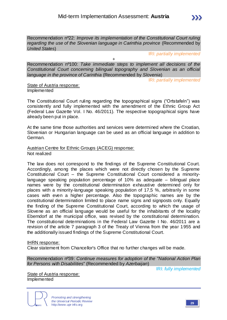Recommendation nº22: *Improve its implementation of the Constitutional Court ruling*  regarding the use of the Slovenian language in Carinthia province (Recommended by *United States*)

IRI: *partially implemented*

Recommendation nº100: *Take immediate steps to implement all decisions of the Constitutional Court concerning bilingual topography and Slovenian as an official language in the province of Carinthia* (Recommended by *Slovenia*)

+

IRI: *partially implemented*

State of Austria response: Implemented

The Constitutional Court ruling regarding the topographical signs ("Ortstafeln") was consistently and fully implemented with the amendment of the Ethnic Group Act (Federal Law Gazette Vol. I No. 46/2011). The respective topographical signs have already been put in place.

At the same time those authorities and services were determined where the Croatian, Slovenian or Hungarian language can be used as an official language in addition to German.

Austrian Centre for Ethnic Groups (ACEG) response: Not realized

The law does not correspond to the findings of the Supreme Constitutional Court. Accordingly, among the places which were not directly chosen by the Supreme Constitutional Court – the Supreme Constitutional Court considered a minoritylanguage speaking population percentage of 10% as adequate – bilingual place names were by the constitutional determination exhaustive determined only for places with a minority-language speaking population of 17,5 %, arbitrarily in some cases with even a higher percentage. Also the topographic names are by the constitutional determination limited to place name signs and signposts only. Equally the finding of the Supreme Constitutional Court, according to which the usage of Slovene as an official language would be useful for the inhabitants of the locality Eberndorf at the municipal office, was revised by the constitutional determination. The constitutional determinations in the Federal Law Gazette I No. 46/2011 are a revision of the article 7 paragraph 3 of the Treaty of Vienna from the year 1955 and the additionally issued findings of the Supreme Constitutional Court.

### IHRN response:

Clear statement from Chancellor's Office that no further changes will be made.

Recommendation nº39: *Continue measures for adoption of the "National Action Plan for Persons with Disabilities"* (Recommended by *Azerbaijan*)

IRI: *fully implemented*

State of Austria response: Implemented

*Promoting and strengthening the Universal Periodic Review* http://www.upr-info.org **<sup>29</sup>**

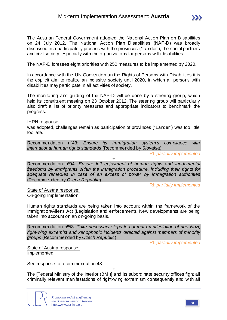The Austrian Federal Government adopted the National Action Plan on Disabilities on 24 July 2012. The National Action Plan Disabilities (NAP-D) was broadly discussed in a participatory process with the provinces ("Länder"), the social partners and civil society, especially with the organizations for persons with disabilities.

The NAP-D foresees eight priorities with 250 measures to be implemented by 2020.

In accordance with the UN Convention on the Rights of Persons with Disabilities it is the explicit aim to realize an inclusive society until 2020, in which all persons with disabilities may participate in all activities of society.

The monitoring and guiding of the NAP-D will be done by a steering group, which held its constituent meeting on 23 October 2012. The steering group will particularly also draft a list of priority measures and appropriate indicators to benchmark the progress.

#### IHRN response:

was adopted, challenges remain as participation of provinces ("Länder") was too little too late.

Recommendation nº43: *Ensure its immigration system's compliance with international human rights standards* (Recommended by *Slovakia*)

+

IRI: *partially implemented*

Recommendation nº94: *Ensure full enjoyment of human rights and fundamental freedoms by immigrants within the immigration procedure, including their rights for adequate remedies in case of an excess of power by immigration authorities* (Recommended by *Czech Republic*)

IRI: *partially implemented*

State of Austria response: On-going Implementation

Human rights standards are being taken into account within the framework of the Immigration/Aliens Act (Legislation and enforcement). New developments are being taken into account on an on-going basis.

Recommendation nº58: *Take necessary steps to combat manifestation of neo-Nazi, right-wing extremist and xenophobic incidents directed against members of minority groups* (Recommended by *Czech Republic*)

IRI: *partially implemented*

State of Austria response: Implemented

See response to recommendation 48

+ The [Federal Ministry of the Interior (BMI)] and its subordinate security offices fight all criminally relevant manifestations of right-wing extremism consequently and with all

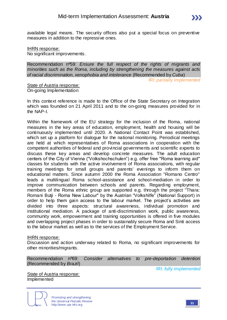

#### IHRN response: No significant improvements.

Recommendation nº59: *Ensure the full respect of the rights of migrants and minorities such as the Roma, including by strengthening the measures against acts of racial discrimination, xenophobia and intolerance* (Recommended by *Cuba*)

IRI: *partially implemented*

State of Austria response: On-going Implementation

In this context reference is made to the Office of the State Secretary on Integration which was founded on 21 April 2011 and to the on-going measures provided for in the NAP-I.

Within the framework of the EU strategy for the inclusion of the Roma, national measures in the key areas of education, employment, health and housing will be continuously implemented until 2020. A National Contact Point was established, which set up a platform for dialogue for the national monitoring. Periodical meetings are held at which representatives of Roma associations in cooperation with the competent authorities of federal and provincial governments and scientific experts to discuss these key areas and develop concrete measures. The adult education centers of the City of Vienna ("Volkshochschulen") e.g. offer free "Roma learning aid" classes for students with the active involvement of Roma associations, with regular training meetings for small groups and parents' evenings to inform them on educational matters. Since autumn 2000 the Roma Association "Romano Centro" leads a multilingual Roma school-assistance and school-mediation in order to improve communication between schools and parents. Regarding employment, members of the Roma ethnic group are supported e.g. through the project "Thara: Romani Butji - Roma New Labour" by the Austrian "Volkshilfe" (National Support) in order to help them gain access to the labour market. The project's activities are divided into three aspects: structural awareness, individual promotion and institutional mediation. A package of anti-discrimination work, public awareness, community work, empowerment and training opportunities is offered in five modules and overlapping project phases in order to sustainably secure Roma and Sinti access to the labour market as well as to the services of the Employment Service.

#### IHRN response:

Discussion and action underway related to Roma, no significant improvements for other minorities/migrants.

| Recommendation nº69: Consider alternatives to pre-deportation detention |  |  |  |
|-------------------------------------------------------------------------|--|--|--|
| (Recommended by Brazil)                                                 |  |  |  |

IRI: *fully implemented*

State of Austria response: Implemented

> *Promoting and strengthening the Universal Periodic Review* http://www.upr-info.org **<sup>31</sup>**

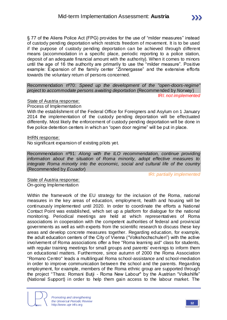§ 77 of the Aliens Police Act (FPG) provides for the use of "milder measures" instead of custody pending deportation which restricts freedom of movement. It is to be used if the purpose of custody pending deportation can be achieved through different means (accommodation in a specific place, periodic reporting to a police station, deposit of an adequate financial amount with the authority). When it comes to minors until the age of 16 the authority are primarily to use the "milder measure". Positive example: Expansion of the family center "Zinnergasse" and the extensive efforts towards the voluntary return of persons concerned.

Recommendation nº70: *Speed up the development of the "open-doors-regime" project to accommodate persons awaiting deportation* (Recommended by *Norway*) IRI: *not implemented*

State of Austria response:

Process of Implementation

With the establishment of the Federal Office for Foreigners and Asylum on 1 January 2014 the implementation of the custody pending deportation will be effectuated differently. Most likely the enforcement of custody pending deportation will be done in five police detention centers in which an "open door regime" will be put in place.

IHRN response:

No significant expansion of existing pilots yet.

Recommendation nº91: *Along with the ILO recommendation, continue providing information about the situation of Roma minority, adopt effective measures to integrate Roma minority into the economic, social and cultural life of the country*  (Recommended by *Ecuador*)

IRI: *partially implemented*

State of Austria response: On-going Implementation

Within the framework of the EU strategy for the inclusion of the Roma, national measures in the key areas of education, employment, health and housing will be continuously implemented until 2020. In order to coordinate the efforts a National Contact Point was established, which set up a platform for dialogue for the national monitoring. Periodical meetings are held at which representatives of Roma associations in cooperation with the competent authorities of federal and provincial governments as well as with experts from the scientific research to discuss these key areas and develop concrete measures together. Regarding education, for example, the adult education centers of the City of Vienna ("Volkshochschulen") with the active involvement of Roma associations offer a free "Roma learning aid" class for students, with regular training meetings for small groups and parents' evenings to inform them on educational matters. Furthermore, since autumn of 2000 the Roma Association "Romano Centro" leads a multilingual Roma school-assistance and school-mediation in order to improve communication between the school and the parents. Regarding employment, for example, members of the Roma ethnic group are supported through the project "Thara: Romani Butji - Roma New Labour" by the Austrian "Volkshilfe" (National Support) in order to help them gain access to the labour market. The

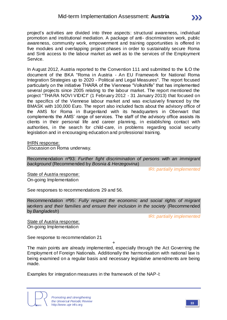project's activities are divided into three aspects: structural awareness, individual promotion and institutional mediation. A package of anti- discrimination work, public awareness, community work, empowerment and training opportunities is offered in five modules and overlapping project phases in order to sustainably secure Roma and Sinti access to the labour market as well as to the services of the Employment Service.

In August 2012, Austria reported to the Convention 111 and submitted to the ILO the document of the BKA "Roma in Austria - An EU Framework for National Roma Integration Strategies up to 2020 - Political and Legal Measures". The report focused particularly on the initiative THARA of the Viennese "Volkshilfe" that has implemented several projects since 2005 relating to the labour market. The report mentioned the project "THARA NOVI VIDICI" (1 February 2012 - 31 January 2013) that focused on the specifics of the Viennese labour market and was exclusively financed by the BMASK with 100,000 Euro. The report also included facts about the advisory office of the AMS for Roma in Burgenland with its headquarters in Oberwart that complements the AMS' range of services. The staff of the advisory office assists its clients in their personal life and career planning, in establishing contact with authorities, in the search for child-care, in problems regarding social security legislation and in encouraging education and professional training.

IHRN response:

Discussion on Roma underway.

Recommendation nº93: *Further fight discrimination of persons with an immigrant background* (Recommended by *Bosnia & Herzegovina*)

IRI: *partially implemented*

State of Austria response: On-going Implementation

See responses to recommendations 29 and 56.

Recommendation nº95: *Fully respect the economic and social rights of migrant workers and their families and ensure their inclusion in the society* (Recommended by *Bangladesh*)

IRI: *partially implemented*

State of Austria response: On-going Implementation

See response to recommendation 21

+

The main points are already implemented, especially through the Act Governing the Employment of Foreign Nationals. Additionally the harmonisation with national law is being examined on a regular basis and necessary legislative amendments are being made.

Examples for integration measures in the framework of the NAP-I:

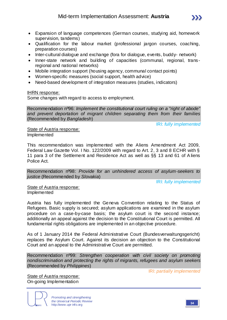- Expansion of language competences (German courses, studying aid, homework supervision, tandems)
- Qualification for the labour market (professional jargon courses, coaching, preparation courses)
- Inter-cultural dialogue and exchange (fora for dialogue, events, buddy- network)
- Inner-state network and building of capacities (communal, regional, transregional and national networks)
- Mobile integration support (housing agency, communal contact points)
- Women-specific measures (social support, health advice)
- Need-based development of integration measures (studies, indicators)

### IHRN response:

Some changes with regard to access to employment.

Recommendation nº96: *Implement the constitutional court ruling on a "right of abode" and prevent deportation of migrant children separating them from their families*  (Recommended by *Bangladesh*)

IRI: *fully implemented*

State of Austria response: Implemented

This recommendation was implemented with the Aliens Amendment Act 2009, Federal Law Gazette Vol. I No. 122/2009 with regard to Art. 2, 3 and 8 ECHR with § 11 para 3 of the Settlement and Residence Act as well as §§ 13 and 61 of A liens Police Act.

Recommendation nº98: *Provide for an unhindered access of asylum-seekers to justice* (Recommended by *Slovakia*)

IRI: *fully implemented*

State of Austria response: Implemented

Austria has fully implemented the Geneva Convention relating to the Status of Refugees. Basic supply is secured; asylum applications are examined in the asylum procedure on a case-by-case basis; the asylum court is the second instance; additionally an appeal against the decision to the Constitutional Court is permitted. All fundamental rights obligations are implemented in an objective procedure.

As of 1 January 2014 the Federal Administrative Court (Bundesverwaltungsgericht) replaces the Asylum Court. Against its decision an objection to the Constitutional Court and an appeal to the Administrative Court are permitted.

Recommendation nº99: *Strengthen cooperation with civil society on promoting nondiscrimination and protecting the rights of migrants, refugees and asylum seekers*  (Recommended by *Philippines*)

IRI: *partially implemented*

State of Austria response: On-going Implementation

> *Promoting and strengthening the Universal Periodic Review* http://www.upr-info.org **<sup>34</sup>**

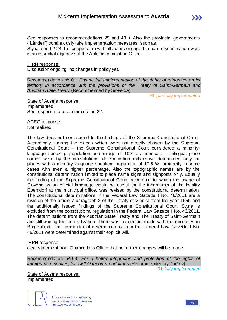Styria: see 92.24; the cooperation with all actors engaged in non- discrimination work is an essential objective of the Anti-Discrimination Office.

### IHRN response:

Discussion ongoing, no changes in policy yet.

Recommendation nº101: *Ensure full implementation of the rights of minorities on its territory in accordance with the provisions of the Treaty of Saint-Germain and Austrian State Treaty* (Recommended by *Slovenia*)

IRI: *partially implemented*

 $\sum$ 

State of Austria response: Implemented See response to recommendation 22.

ACEG response: Not realized

The law does not correspond to the findings of the Supreme Constitutional Court. Accordingly, among the places which were not directly chosen by the Supreme Constitutional Court – the Supreme Constitutional Court considered a minoritylanguage speaking population percentage of 10% as adequate – bilingual place names were by the constitutional determination exhaustive determined only for places with a minority-language speaking population of 17,5 %, arbitrarily in some cases with even a higher percentage. Also the topographic names are by the constitutional determination limited to place name signs and signposts only. Equally the finding of the Supreme Constitutional Court, according to which the usage of Slovene as an official language would be useful for the inhabitants of the locality Eberndorf at the municipal office, was revised by the constitutional determination. The constitutional determinations in the Federal Law Gazette I No. 46/2011 are a revision of the article 7 paragraph 3 of the Treaty of Vienna from the year 1955 and the additionally issued findings of the Supreme Constitutional Court. Styria is excluded from the constitutional regulation in the Federal Law Gazette I No. 46/2011. The determinations from the Austrian State Treaty and The Treaty of Saint-Germain are still waiting for the realization. There was no contact made with the minorities in Burgenland. The constitutional determinations from the Federal Law Gazette I No. 46/2011 were determined against their explicit will.

### IHRN response:

clear statement from Chancellor's Office that no further changes will be made.

Recommendation nº109: *For a better integration and protection of the rights of immigrant minorities, follow ILO recommendations* (Recommended by *Turkey*)

IRI: *fully implemented*

State of Austria response: Implemented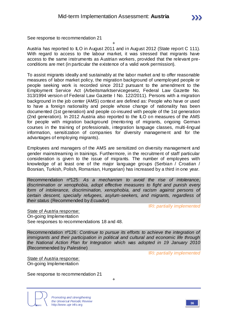See response to recommendation 21

+ Austria has reported to ILO in August 2011 and in August 2012 (State report C 111). With regard to access to the labour market, it was stressed that migrants have access to the same instruments as Austrian workers, provided that the relevant preconditions are met (in particular the existence of a valid work permission).

To assist migrants ideally and sustainably at the labor market and to offer reasonable measures of labor market policy, the migration background of unemployed people or people seeking work is recorded since 2012 pursuant to the amendment to the Employment Service Act (Arbeitsmarktservicegesetz, Federal Law Gazette No. 313/1994 version of Federal Law Gazette I No. 122/2011). Persons with a migration background in the job center (AMS) context are defined as: People who have or used to have a foreign nationality and people whose change of nationality has been documented (1st generation) and people co-insured with people of the 1st generation (2nd generation). In 2012 Austria also reported to the ILO on measures of the AMS for people with migration background (mentoring of migrants, ongoing German courses in the training of professionals, integration language classes, multi-lingual information, sensitization of companies for diversity management and for the advantages of employing migrants).

Employees and managers of the AMS are sensitized on diversity management and gender mainstreaming in trainings. Furthermore, in the recruitment of staff particular consideration is given to the issue of migrants. The number of employees with knowledge of at least one of the major language groups (Serbian / Croatian / Bosnian, Turkish, Polish, Romanian, Hungarian) has increased by a third in one year.

Recommendation nº125: *As a mechanism to avoid the rise of intolerance, discrimination or xenophobia, adopt effective measures to fight and punish every*  form of intolerance, discrimination, xenophobia, and racism against persons of *certain descent, specially refugees, asylum-seekers, and migrants, regardless of their status* (Recommended by *Ecuador*)

IRI: *partially implemented*

State of Austria response: On-going Implementation See responses to recommendations 18 and 48.

Recommendation nº126: *Continue to pursue its efforts to achieve the integration of immigrants and their participation in political and cultural and economic life through the National Action Plan for Integration which was adopted in 19 January 2010*  (Recommended by *Palestine*)

IRI: *partially implemented*

State of Austria response: On-going Implementation

See response to recommendation 21

+

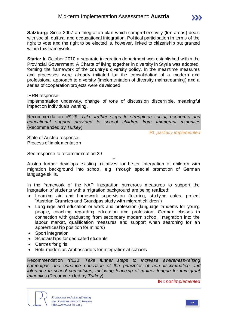**Styria:** In October 2010 a separate integration department was established within the Provincial Government. A Charta of living together in diversity in Styria was adopted, forming the framework of the country's diversity policy. In the meantime measures and processes were already initiated for the consolidation of a modern and professional approach to diversity (implementation of diversity mainstreaming) and a series of cooperation projects were developed.

#### IHRN response:

Implementation underway, change of tone of discussion discernible, meaningful impact on individuals wanting.

Recommendation nº129: *Take further steps to strengthen social, economic and educational support provided to school children from immigrant minorities*  (Recommended by *Turkey*)

IRI: *partially implemented*

 $\sum$ 

State of Austria response: Process of implementation

See response to recommendation 29

Austria further develops existing initiatives for better integration of children with migration background into school, e.g. through special promotion of German language skills.

+

In the framework of the NAP Integration numerous measures to support the integration of students with a migration background are being realized:

- Learning aid and homework supervision (tutoring, studying cafes, project "Austrian Grannies and Grandpas study with migrant children")
- Language and education or work and profession (language tandems for young people, coaching regarding education and profession, German classes in connection with graduating from secondary modern school, integration into the labour market, qualification measures and support when searching for an apprenticeship position for minors)
- Sport integration
- Scholarships for dedicated students
- Centres for girls
- Role-models as Ambassadors for integration at schools

Recommendation nº130: *Take further steps to increase awareness-raising campaigns and enhance education of the principles of non-discrimination and tolerance in school curriculums, including teaching of mother tongue for immigrant minorities* (Recommended by *Turkey*)

IRI: *not implemented*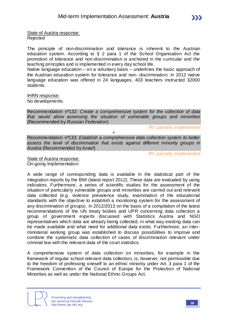

State of Austria response: Rejected

The principle of non-discrimination and tolerance is inherent to the Austrian education system. According to § 2 para 1 of the School Organisation Act the promotion of tolerance and non-discrimination is anchored in the curricular and the teaching principles and is implemented in every day school life.

Native language education – on a voluntary basis – underlines the basic approach of the Austrian education system for tolerance and non- discrimination. In 2012 native language education was offered in 24 languages, 403 teachers instructed 32000 students.

IHRN response:

No developments.

Recommendation nº132: *Create a comprehensive system for the collection of data that would allow assessing the situation of vulnerable groups and minorities*  (Recommended by *Russian Federation*)

IRI: *partially implemented*

Recommendation nº133: *Establish a comprehensive data collection system to better assess the level of discrimination that exists against different minority groups in Austria* (Recommended by *Israel*)

+

IRI: *partially implemented*

State of Austria response: On-going Implementation

A wide range of corresponding data is available in the statistical part of the integration reports by the BMI (latest report 2012). These data are evaluated by using indicators. Furthermore, a series of scientific studies for the assessment of the situation of particularly vulnerable groups and minorities are carried out and relevant data collected (e.g. violence prevalence study, examination of the educational standards with the objective to establish a monitoring system for the assessment of any discrimination of groups). In 2012/2013 on the basis of a compilation of the latest recommendations of the UN treaty bodies and UPR concerning data collection a group of government experts discussed with Statistics Austria and NGO representatives which data are already being collected, in what way existing data can be made available and what need for additional data exists. Furthermore, an interministerial working group was established to discuss possibilities to improve and combine the systematic data collection of cases of discrimination relevant under criminal law with the relevant data of the court statistics.

A comprehensive system of data collection on minorities, for example in the framework of regular school relevant data collection, is, however, not permissible due to the freedom of professing oneself to an ethnic minority under Art. 3 para 1 of the Framework Convention of the Council of Europe for the Protection of National Minorities as well as under the National Ethnic Groups Act.

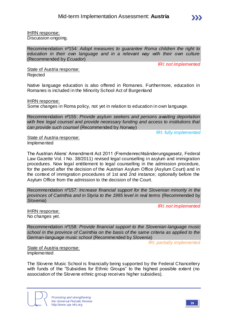

IHRN response: Discussion ongoing.

Recommendation nº154: *Adopt measures to guarantee Roma children the right to education in their own language and in a relevant way with their own culture*  (Recommended by *Ecuador*)

IRI: *not implemented*

State of Austria response: Rejected

Native language education is also offered in Romanes. Furthermore, education in Romanes is included in the Minority School Act of Burgenland

IHRN response:

Some changes in Roma policy, not yet in relation to education in own language.

Recommendation nº155: *Provide asylum seekers and persons awaiting deportation with free legal counsel and provide necessary funding and access to institutions that can provide such counsel* (Recommended by *Norway*)

IRI: *fully implemented*

State of Austria response: Implemented

The Austrian Aliens' Amendment Act 2011 (Fremdenrechtsänderungsgesetz, Federal Law Gazette Vol. I No. 38/2011) revised legal counselling in asylum and immigration procedures. Now legal entitlement to legal counselling in the admission procedure, for the period after the decision of the Austrian Asylum Office (Asylum Court) and in the context of immigration procedures of 1st and 2nd instance; optionally before the Asylum Office from the admission to the decision of the Court.

Recommendation nº157: *Increase financial support for the Slovenian minority in the provinces of Carinthia and in Styria to the 1995 level in real terms* (Recommended by *Slovenia*)

IRI: *not implemented*

IHRN response: No changes yet.

Recommendation nº158: *Provide financial support to the Slovenian-language music school in the province of Carinthia on the basis of the same criteria as applied to the German-language music school* (Recommended by *Slovenia*)

IRI: *partially implemented*

State of Austria response: Implemented

The Slovene Music School is financially being supported by the Federal Chancellery with funds of the "Subsidies for Ethnic Groups" to the highest possible extent (no association of the Slovene ethnic group receives higher subsidies).

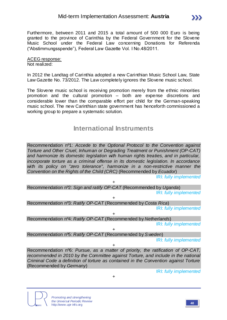

#### ACEG response: Not realized:

In 2012 the Landtag of Carinthia adopted a new Carinthian Music School Law, State Law Gazette No. 73/2012. The Law completely ignores the Slovene music school.

The Slovene music school is receiving promotion merely from the ethnic minorities promotion and the cultural promotion – both are expense discretions and considerable lower than the comparable effort per child for the German-speaking music school. The new Carinthian state government has henceforth commissioned a working group to prepare a systematic solution.

## **International Instruments**

Recommendation nº1: *Accede to the Optional Protocol to the Convention against Torture and Other Cruel, Inhuman or Degrading Treatment or Punishment (OP-CAT) and harmonize its domestic legislation with human rights treaties, and in particular, incorporate torture as a criminal offense in its domestic legislation. In accordance with its policy on "zero tolerance", harmonize in a non-restrictive manner the Convention on the Rights of the Child (CRC)* (Recommended by *Ecuador*)

IRI: *fully implemented*

+ Recommendation nº2: *Sign and ratify OP-CAT* (Recommended by *Uganda*) IRI: *fully implemented*

+ Recommendation nº3: *Ratify OP-CAT* (Recommended by *Costa Rica*) IRI: *fully implemented*

+ Recommendation nº4: *Ratify OP-CAT* (Recommended by *Netherlands*) IRI: *fully implemented*

+ Recommendation nº5: *Ratify OP-CAT* (Recommended by *S weden*)

IRI: *fully implemented*

Recommendation nº6: *Pursue, as a matter of priority, the ratification of OP-CAT, recommended in 2010 by the Committee against Torture, and include in the national Criminal Code a definition of torture as contained in the Convention against Torture*  (Recommended by *Germany*)

+

+



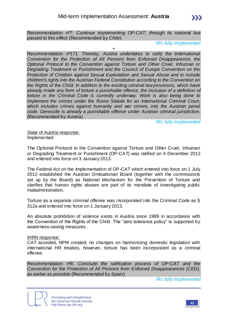Recommendation nº7: *Continue implementing OP-CAT, through its national law passed to this effect* (Recommended by *Chile*)

IRI: *fully implemented*

 $+$ 

Recommendation nº171: *Thereby, Austria undertakes to ratify the International Convention for the Protection of All Persons from Enforced Disappearance, the Optional Protocol to the Convention against Torture and Other Cruel, Inhuman or Degrading Treatment or Punishment and the Council of Europe Convention on the Protection of Children against Sexual Exploitation and Sexual Abuse and to include children's rights into the Austrian Federal Constitution according to the Convention on the Rights of the Child. In addition to the existing criminal law provisions, which have already made any form of torture a punishable offence, the inclusion of a definition of torture in the Criminal Code is currently underway. Work is also being done to implement the crimes under the Rome Statute for an International Criminal Court, which includes crimes against humanity and war crimes, into the Austrian penal code. Genocide is already a punishable offence under Austrian criminal jurisdiction.* (Recommended by *Austria*)

IRI: *fully implemented*

State of Austria response: Implemented

The Optional Protocol to the Convention against Torture and Other Cruel, Inhuman or Degrading Treatment or Punishment (OP-CAT) was ratified on 4 December 2012 and entered into force on 3 January 2013.

The Federal Act on the Implementation of OP-CAT which entered into force on 1 July 2012 established the Austrian Ombudsman Board (together with the commissions set up by the Board) as National Mechanism for the Prevention of Torture and clarifies that human rights abuses are part of its mandate of investigating public maladministration.

Torture as a separate criminal offense was incorporated into the Criminal Code as § 312a and entered into force on 1 January 2013.

An absolute prohibition of violence exists in Austria since 1989 in accordance with the Convention of the Rights of the Child. The "zero tolerance policy" is supported by awareness-raising measures.

### IHRN response:

CAT acceded, NPM created; no changes on harmonizing domestic legislation with international HR treaties, however, torture has been incorporated as a criminal offense.

Recommendation nº8: *Conclude the ratification process of OP-CAT and the Convention for the Protection of All Persons from Enforced Disappearances (CED), as earlier as possible* (Recommended by *Spain*)

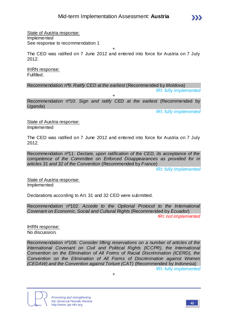

State of Austria response: Implemented See response to recommendation 1

+

The CED was ratified on 7 June 2012 and entered into force for Austria on 7 July 2012.

IHRN response: Fulfilled.

Recommendation nº9: *Ratify CED at the earliest* (Recommended by *Moldova*)

IRI: *fully implemented*

Recommendation nº10: *Sign and ratify CED at the earliest* (Recommended by *Uganda*)

+

IRI: *fully implemented*

State of Austria response: Implemented

The CED was ratified on 7 June 2012 and entered into force for Austria on 7 July 2012.

Recommendation nº11: *Declare, upon ratification of the CED, its acceptance of the competence of the Committee on Enforced Disappearances as provided for in articles 31 and 32 of the Convention* (Recommended by *France*)

IRI: *fully implemented*

State of Austria response: Implemented

Declarations according to Art. 31 and 32 CED were submitted.

Recommendation nº102: *Accede to the Optional Protocol to the International Covenant on Economic, Social and Cultural Rights* (Recommended by *Ecuador*) IRI: *not implemented*

IHRN response: No discussion.

Recommendation nº106: *Consider lifting reservations on a number of articles of the International Covenant on Civil and Political Rights (ICCPR), the International Convention on the Elimination of All Forms of Racial Discrimination (ICERD), the Convention on the Elimination of All Forms of Discrimination against Women (CEDAW) and the Convention against Torture (CAT)* (Recommended by *Indonesia*)

+



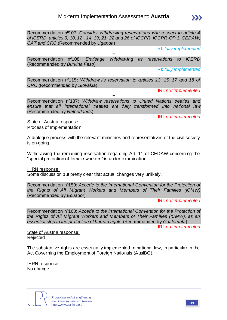Recommendation nº107: *Consider withdrawing reservations with respect to article 4 of ICERD, articles 9, 10, 12 , 14, 19, 21, 22 and 26 of ICCPR, ICCPR-OP 1, CEDAW, CAT and CRC* (Recommended by *Uganda*)

IRI: *fully implemented*

Recommendation nº108: *Envisage withdrawing its reservations to ICERD*  (Recommended by *Burkina Faso*)

 $+$ 

IRI: *fully implemented*

+ Recommendation nº115: *Withdraw its reservation to articles 13, 15, 17 and 18 of CRC* (Recommended by *Slovakia*)

IRI: *not implemented*

+ Recommendation nº137: *Withdraw reservations to United Nations treaties and ensure that all international treaties are fully transformed into national law*  (Recommended by *Netherlands*)

IRI: *not implemented*

State of Austria response: Process of Implementation

A dialogue process with the relevant ministries and representatives of the civil society is on-going.

Withdrawing the remaining reservation regarding Art. 11 of CEDAW concerning the "special protection of female workers" is under examination.

IHRN response:

Some discussion but pretty clear that actual changes very unlikely.

Recommendation nº159: *Accede to the International Convention for the Protection of the Rights of All Migrant Workers and Members of Their Families (ICMW)* (Recommended by *Ecuador*)

IRI: *not implemented*

+ Recommendation nº160: *Accede to the International Convention for the Protection of the Rights of All Migrant Workers and Members of Their Families (ICMW), as an essential step in the protection of human rights* (Recommended by *Guatemala*)

IRI: *not implemented*

State of Austria response: Rejected

The substantive rights are essentially implemented in national law, in particular in the Act Governing the Employment of Foreign Nationals (AuslBG).

IHRN response: No change.



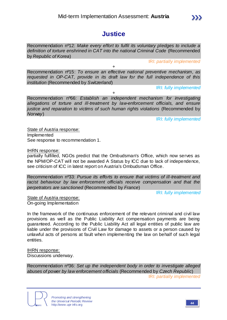

**Justice**

Recommendation nº12: *Make every effort to fulfil its voluntary pledges to include a definition of torture enshrined in CAT into the national Criminal Code* (Recommended by *Republic of Korea*)

IRI: *partially implemented*

Recommendation nº15: *To ensure an effective national preventive mechanism, as requested in OP-CAT, provide in its draft law for the full independence of this institution* (Recommended by *Switzerland*)

 $+$ 

IRI: *fully implemented*

+ Recommendation nº66: *Establish an independent mechanism for investigating allegations of torture and ill-treatment by law-enforcement officials, and ensure justice and reparation to victims of such human rights violations (Recommended by Norway*)

IRI: *fully implemented*

State of Austria response: Implemented See response to recommendation 1.

IHRN response:

partially fulfilled, NGOs predict that the Ombudsman's Office, which now serves as the NPM/OP-CAT will not be awarded A Status by ICC due to lack of independence, see criticism of ICC in latest report on Austria's Ombudsman Office.

Recommendation nº33: *Pursue its efforts to ensure that victims of ill-treatment and racist behaviour by law enforcement officials receive compensation and that the perpetrators are sanctioned* (Recommended by *France*)

IRI: *fully implemented*

State of Austria response: On-going Implementation

In the framework of the continuous enforcement of the relevant criminal and civil law provisions as well as the Public Liability Act compensation payments are being guaranteed. According to the Public Liability Act all legal entities of public law are liable under the provisions of Civil Law for damage to assets or a person caused by unlawful acts of persons at fault when implementing the law on behalf of such legal entities.

IHRN response:

Discussions underway.

Recommendation nº36: *Set up the independent body in order to investigate alleged abuses of power by law enforcement officials* (Recommended by *Czech Republic*) IRI: *partially implemented*



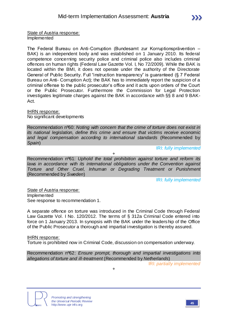State of Austria response: Implemented

The Federal Bureau on Anti-Corruption (Bundesamt zur Korruptionsprävention – BAK) is an independent body and was established on 1 January 2010. Its federal competence concerning security police and criminal police also includes criminal offences on human rights (Federal Law Gazette Vol. I, No 72/2009). While the BAK is located within the BMI, it does not operate under the authority of the Directorate General of Public Security. Full "instruction transparency" is guaranteed (§ 7 Federal Bureau on Anti- Corruption Act); the BAK has to immediately report the suspicion of a criminal offense to the public prosecutor's office and it acts upon orders of the Court or the Public Prosecutor. Furthermore the Commission for Legal Protection investigates legitimate charges against the BAK in accordance with §§ 8 and 9 BAK-Act.

IHRN response: No significant developments

Recommendation nº60: *Noting with concern that the crime of torture does not exist in its national legislation, define this crime and ensure that victims receive economic and legal compensation according to international standards* (Recommended by *Spain*)

IRI: *fully implemented*

Recommendation nº61: *Uphold the total prohibition against torture and reform its*  laws in accordance with its international obligations under the Convention against *Torture and Other Cruel, Inhuman or Degrading Treatment or Punishment*  (Recommended by *Sweden*)

+

IRI: *fully implemented*

State of Austria response: Implemented See response to recommendation 1.

A separate offence on torture was introduced in the Criminal Code through Federal Law Gazette Vol. I No. 120/2012. The terms of § 312a Criminal Code entered into force on 1 January 2013. In synopsis with the BAK under the leadership of the Office of the Public Prosecutor a thorough and impartial investigation is thereby assured.

### IHRN response:

Torture is prohibited now in Criminal Code, discussion on compensation underway.

Recommendation nº62: *Ensure prompt, thorough and impartial investigations into allegations of torture and ill-treatment* (Recommended by *Netherlands*)

+

IRI: *partially implemented*

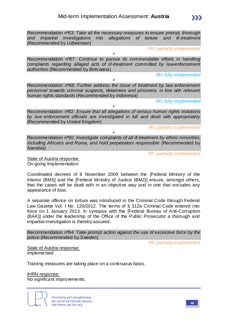Recommendation nº63: *Take all the necessary measures to ensure prompt, thorough and impartial investigations into allegations of torture and ill-treatment*  (Recommended by *Uzbekistan*)

IRI: *partially implemented*

Recommendation nº67: *Continue to pursue its commendable efforts in handling complaints regarding alleged acts of ill-treatment committed by law-enforcement authorities* (Recommended by *Botswana*)

+

IRI: *fully implemented*

Recommendation nº68: *Further address the issue of treatment by law enforcement personnel towards criminal suspects, detainees and prisoners, in line with relevant human rights standards* (Recommended by *Indonesia*)

+

IRI: *fully implemented*

Recommendation nº82: *Ensure that all allegations of serious human rights violations by law enforcement officials are investigated in full and dealt with appropriately*  (Recommended by *United Kingdom*)

+

IRI: *partially implemented*

Recommendation nº90: *Investigate complaints of all ill-treatment by ethnic minorities, including Africans and Roma, and hold perpetrators responsible (Recommended by Namibia*)

+

IRI: *partially implemented*

State of Austria response: On-going Implementation

Coordinated decrees of 6 November 2009 between the [Federal Ministry of the Interior (BMI)] and the [Federal Ministry of Justice (BMJ)] ensure, amongst others, that the cases will be dealt with in an objective way and in one that excludes any appearance of bias.

A separate offence on torture was introduced in the Criminal Code through Federal Law Gazette Vol. I No. 120/2012. The terms of § 312a Criminal Code entered into force on 1 January 2013. In synopsis with the [Federal Bureau of Anti-Corruption (BAK)] under the leadership of the Office of the Public Prosecutor a thorough and impartial investigation is thereby assured.

Recommendation nº64: *Take prompt action against the use of excessive force by the police* (Recommended by *Sweden*)

IRI: *partially implemented*

State of Austria response: Implemented

Training measures are taking place on a continuous basis.

IHRN response: No significant improvements.

> *Promoting and strengthening the Universal Periodic Review* http://www.upr-info.org **<sup>46</sup>**

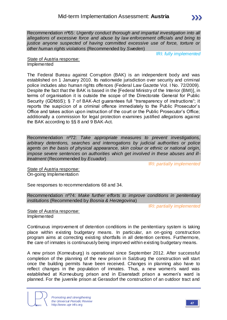

Recommendation nº65: *Urgently conduct thorough and impartial investigation into all allegations of excessive force and abuse by law enforcement officials and bring to justice anyone suspected of having committed excessive use of force, torture or other human rights violations* (Recommended by *Sweden*)

IRI: *fully implemented*

State of Austria response: Implemented

The Federal Bureau against Corruption (BAK) is an independent body and was established on 1 January 2010. Its nationwide jurisdiction over security and criminal police includes also human rights offences (Federal Law Gazette Vol. I No. 72/2009). Despite the fact that the BAK is based in the [Federal Ministry of the Interior (BMI)], in terms of organisation it is outside the scope of the Directorate General for Public Security (GDfdöS); § 7 of BAK-Act quarantees full "transparency of instructions"; it reports the suspicion of a criminal offence immediately to the Public Prosecutor's Office and takes action upon instruction of the court or the Public Prosecutor's Office; additionally a commission for legal protection examines justified allegations against the BAK according to §§ 8 and 9 BAK-Act.

Recommendation nº72: *Take appropriate measures to prevent investigations, arbitrary detentions, searches and interrogations by judicial authorities or police agents on the basis of physical appearance, skin colour or ethnic or national origin, impose severe sentences on authorities which get involved in these abuses and illtreatment* (Recommended by *Ecuador*)

IRI: *partially implemented*

State of Austria response: On-going Implementation

See responses to recommendations 68 and 34.

Recommendation nº74: *Make further efforts to improve conditions in penitentiary institutions* (Recommended by *Bosnia & Herzegovina*)

IRI: *partially implemented*

State of Austria response: Implemented

Continuous improvement of detention conditions in the penitentiary system is taking place within existing budgetary means. In particular, an on-going construction program aims at correcting existing shortfalls in all detention centres. Furthermore, the care of inmates is continuously being improved within existing budgetary means.

A new prison (Korneuburg) is operational since September 2012. After successful completion of the planning of the new prison in Salzburg the construction will start once the building permits have been received. Changes in planning also have to reflect changes in the population of inmates. Thus, a new women's ward was established at Korneuburg prison and in Eisenstadt prison a women's ward is planned. For the juvenile prison at Gerasdorf the construction of an outdoor tract and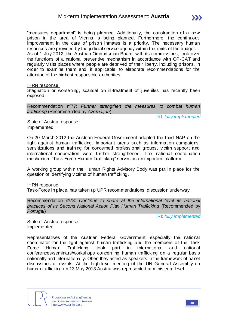"measures department" is being planned. Additionally, the construction of a new prison in the area of Vienna is being planned. Furthermore, the continuous improvement in the care of prison inmates is a priority. The necessary human resources are provided by the judicial service agency within the limits of the budget. As of 1 July 2012, the Austrian Ombudsman Board, with its commissions, took over the functions of a national preventive mechanism in accordance with OP-CAT and regularly visits places where people are deprived of their liberty, including prisons, in order to examine them and, if applicable, to elaborate recommendations for the attention of the highest responsible authorities.

#### IHRN response:

Stagnation or worsening, scandal on ill-treatment of juveniles has recently been exposed.

Recommendation nº77: *Further strengthen the measures to combat human trafficking* (Recommended by *Azerbaijan*)

IRI: *fully implemented*

State of Austria response: Implemented

On 20 March 2012 the Austrian Federal Government adopted the third NAP on the fight against human trafficking. Important areas such as information campaigns, sensitizations and training for concerned professional groups, victim support and international cooperation were further strengthened. The national coordination mechanism "Task Force Human Trafficking" serves as an important platform.

A working group within the Human Rights Advisory Body was put in place for the question of identifying victims of human trafficking.

IHRN response:

Task-Force in place, has taken up UPR recommendations, discussion underway.

Recommendation nº78: *Continue to share at the international level its national practices of its Second National Action Plan Human Trafficking* (Recommended by *Portugal*)

IRI: *fully implemented*

State of Austria response: Implemented

Representatives of the Austrian Federal Government, especially the national coordinator for the fight against human trafficking and the members of the Task Force Human Trafficking, took part in international and national conferences/seminars/workshops concerning human trafficking on a regular basis nationally and internationally. Often they acted as speakers in the framework of panel discussions or events. At the high-level meeting of the UN General Assembly on human trafficking on 13 May 2013 Austria was represented at ministerial level.

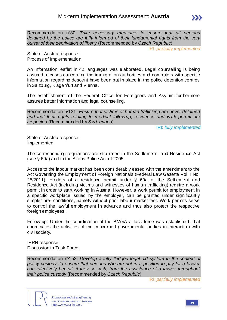Recommendation nº80: *Take necessary measures to ensure that all persons detained by the police are fully informed of their fundamental rights from the very outset of their deprivation of liberty* (Recommended by *Czech Republic*)

IRI: *partially implemented*

State of Austria response: Process of Implementation

An information leaflet in 42 languages was elaborated. Legal counselling is being assured in cases concerning the immigration authorities and computers with specific information regarding descent have been put in place in the police detention centres in Salzburg, Klagenfurt and Vienna.

The establishment of the Federal Office for Foreigners and Asylum furthermore assures better information and legal counselling.

Recommendation nº131: *Ensure that victims of human trafficking are never detained and that their rights relating to medical follow-up, residence and work permit are respected* (Recommended by *S witzerland*)

IRI: *fully implemented*

State of Austria response: Implemented

The corresponding regulations are stipulated in the Settlement- and Residence Act (see § 69a) and in the Aliens Police Act of 2005.

Access to the labour market has been considerably eased with the amendment to the Act Governing the Employment of Foreign Nationals (Federal Law Gazette Vol. I No. 25/2011): Holders of a residence permit under § 69a of the Settlement and Residence Act (including victims and witnesses of human trafficking) require a work permit in order to start working in Austria. However, a work permit for employment in a specific workplace issued by the employer, can be granted under significantly simpler pre- conditions, namely without prior labour market test. Work permits serve to control the lawful employment in advance and thus also protect the respective foreign employees.

Follow-up: Under the coordination of the BMeiA a task force was established, that coordinates the activities of the concerned governmental bodies in interaction with civil society.

IHRN response: Discussion in Task-Force.

Recommendation nº152: *Develop a fully fledged legal aid system in the context of policy custody, to ensure that persons who are not in a position to pay for a lawyer can effectively benefit, if they so wish, from the assistance of a lawyer throughout their police custody* (Recommended by *Czech Republic*)

IRI: *partially implemented*

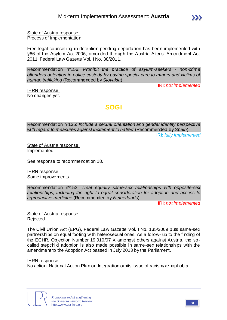

State of Austria response: Process of Implementation

Free legal counselling in detention pending deportation has been implemented with §66 of the Asylum Act 2005, amended through the Austria Aliens' Amendment Act 2011, Federal Law Gazette Vol. I No. 38/2011.

Recommendation nº156: *Prohibit the practice of asylum-seekers - non-crime offenders detention in police custody by paying special care to minors and victims of human trafficking* (Recommended by *Slovakia*)

IRI: *not implemented*

IHRN response: No changes yet.

## **SOGI**

Recommendation nº135: *Include a sexual orientation and gender identity perspective with regard to measures against incitement to hatred* (Recommended by *Spain*)

IRI: *fully implemented*

State of Austria response: Implemented

See response to recommendation 18.

IHRN response: Some improvements.

Recommendation nº153: *Treat equally same-sex relationships with opposite-sex relationships, including the right to equal consideration for adoption and access to reproductive medicine* (Recommended by *Netherlands*)

IRI: *not implemented*

State of Austria response: Rejected

The Civil Union Act (EPG), Federal Law Gazette Vol. I No. 135/2009 puts same-sex partnerships on equal footing with heterosexual ones. As a follow- up to the finding of the ECHR, Objection Number 19.010/07 X amongst others against Austria, the socalled stepchild adoption is also made possible in same-sex relationships with the amendment to the Adoption Act passed in July 2013 by the Parliament.

### IHRN response:

No action, National Action Plan on Integration omits issue of racism/xenophobia.

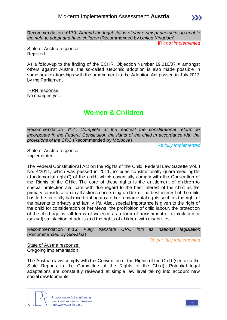Recommendation nº170: *Amend the legal status of same-sex partnerships to enable the right to adopt and have children* (Recommended by *United Kingdom*)

IRI: *not implemented*

 $\sum$ 

State of Austria response: Rejected

As a follow-up to the finding of the ECHR, Objection Number 19.010/07 X amongst others against Austria, the so-called stepchild adoption is also made possible in same-sex relationships with the amendment to the Adoption Act passed in July 2013 by the Parliament.

IHRN response: No changes yet.

## **Women & Children**

Recommendation nº14: *Complete at the earliest the constitutional reform to incorporate in the Federal Constitution the rights of the child in accordance with the provisions of the CRC* (Recommended by *Moldova*)

IRI: *fully implemented*

State of Austria response: Implemented

The Federal Constitutional Act on the Rights of the Child, Federal Law Gazette Vol. I No. 4/2011, which was passed in 2011, includes constitutionally guaranteed rights ("fundamental rights") of the child, which essentially comply with the Convention of the Rights of the Child. The core of these rights is the entitlement of children to special protection and care with due regard to the best interest of the child as the primary consideration in all actions concerning children. The best interest of the child has to be carefully balanced out against other fundamental rights such as the right of the parents to privacy and family life. Also, special importance is given to the right of the child for consideration of her views, the prohibition of child labour, the protection of the child against all forms of violence as a form of punishment or exploitation or (sexual) satisfaction of adults and the rights of children with disabilities.

Recommendation nº16: *Fully translate CRC into its national legislation*  (Recommended by *Slovakia*)

IRI: *partially implemented*

State of Austria response: On-going implementation

The Austrian laws comply with the Convention of the Rights of the Child (see also the State Reports to the Committee of the Rights of the Child). Potential legal adaptations are constantly reviewed at simple law level taking into account new social developments.

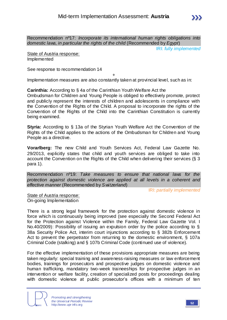IRI: *fully implemented*

State of Austria response: Implemented

See response to recommendation 14

+ Implementation measures are also constantly taken at provincial level, such as in:

**Carinthia:** According to § 4a of the Carinthian Youth Welfare Act the

Ombudsman for Children and Young People is obliged to effectively promote, protect and publicly represent the interests of children and adolescents in compliance with the Convention of the Rights of the Child. A proposal to incorporate the rights of the Convention of the Rights of the Child into the Carinthian Constitution is currently being examined.

**Styria:** According to § 13a of the Styrian Youth Welfare Act the Convention of the Rights of the Child applies to the actions of the Ombudsman for Children and Young People as a directive.

**Vorarlberg:** The new Child and Youth Services Act, Federal Law Gazette No. 29/2013, explicitly states that child and youth services are obliged to take into account the Convention on the Rights of the Child when delivering their services (§ 3 para 1).

Recommendation nº19: *Take measures to ensure that national laws for the protection against domestic violence are applied at all levels in a coherent and effective manner* (Recommended by *S witzerland*)

IRI: *partially implemented*

State of Austria response: On-going Implementation

There is a strong legal framework for the protection against domestic violence in force which is continuously being improved (see especially the Second Federal Act for the Protection against Violence within the Family, Federal Law Gazette Vol. I No.40/2009): Possibility of issuing an expulsion order by the police according to § 38a Security Police Act, interim court injunctions according to § 382b Enforcement Act to prevent the perpetrator from returning to the domestic environment, § 107a Criminal Code (stalking) and § 107b Criminal Code (continued use of violence).

For the effective implementation of these provisions appropriate measures are being taken regularly: special training and awareness-raising measures or law enforcement bodies, trainings for prosecutors and prospective judges on domestic violence and human trafficking, mandatory two-week traineeships for prospective judges in an intervention or welfare facility, creation of specialized posts for proceedings dealing with domestic violence at public prosecutor's offices with a minimum of ten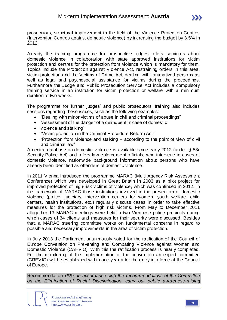prosecutors, structural improvement in the field of the Violence Protection Centres (Intervention Centres against domestic violence) by increasing the budget by 3,5% in 2012.

Already the training programme for prospective judges offers seminars about domestic violence in collaboration with state approved institutions for victim protection and centres for the protection from violence which is mandatory for them. Topics include the Protection against Violence Act, restraining orders in this area, victim protection and the Victims of Crime Act, dealing with traumatized persons as well as legal and psychosocial assistance for victims during the proceedings. Furthermore the Judge and Public Prosecution Service Act includes a compulsory training service in an institution for victim protection or welfare with a minimum duration of two weeks.

The programme for further judges' and public prosecutors' training also includes sessions regarding these issues, such as the following examples:

- "Dealing with minor victims of abuse in civil and criminal proceedings"
- "Assessment of the danger of a delinquent in case of domestic
- violence and stalking"
- "Victim protection in the Criminal Procedure Reform Act"
- "Protection from violence and stalking according to the point of view of civil and criminal law"

A central database on domestic violence is available since early 2012 (unde r § 58c Security Police Act) and offers law enforcement officials, who intervene in cases of domestic violence, nationwide background information about persons who have already been identified as offenders of domestic violence.

In 2011 Vienna introduced the programme MARAC (Multi Agency Risk Assessment Conference) which was developed in Great Britain in 2003 as a pilot project for improved protection of high-risk victims of violence, which was continued in 2012. In the framework of MARAC those institutions involved in the prevention of domestic violence (police, judiciary, intervention centers for women, youth welfare, child centers, health institutions, etc.) regularly discuss cases in order to take effective measures for the protection of high risk victims. From May to December 2011 altogether 13 MARAC meetings were held in two Viennese police precincts during which cases of 34 clients and measures for their security were discussed. Besides that, a MARAC steering committee works on fundamental concerns in regard to possible and necessary improvements in the area of victim protection.

In July 2013 the Parliament unanimously voted for the ratification of the Council of Europe Convention on Preventing and Combating Violence against Women and Domestic Violence (CAHVIO). With this the ratification process is nearly completed. For the monitoring of the implementation of the convention an expert committee (GREVIO) will be established within one year after the entry into force at the Council of Europe.

Recommendation nº29: *In accordance with the recommendations of the Committee on the Elimination of Racial Discrimination, carry out public awareness-raising* 

*Promoting and strengthening the Universal Periodic Review* http://www.upr-info.org **<sup>53</sup>**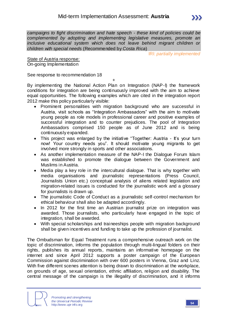IRI: *partially implemented*

State of Austria response: On-going Implementation

See response to recommendation 18

+ By implementing the National Action Plan on Integration (NAP-I) the framework conditions for integration are being continuously improved with the aim to achieve equal opportunities. The following examples which are cited in the integration report 2012 make this policy particularly visible:

- Prominent personalities with migration background who are successful in Austria, visit schools as " ntegration Ambassadors" with the aim to motivate young people as role models in professional career and positive examples of successful integration and to counter prejudices. The pool of Integration Ambassadors comprised 150 people as of June 2012 and is being continuously expanded.
- This project was enlarged by the initiative "Together: Austria It's your turn now! Your country needs you". t should motivate young migrants to get involved more strongly in sports and other associations.
- As another implementation measure of the NAP-I the Dialogue Forum Islam was established to promote the dialogue between the Government and Muslims in Austria.
- Media play a key role in the intercultural dialogue. That is why together with media organisations and journalistic representations (Press Council, Journalists Union etc.) conceptual analysis of aliens related legislation and migration-related issues is conducted for the journalistic work and a glossary for journalists is drawn up.
- The journalistic Code of Conduct as a journalistic self-control mechanism for ethical behaviour shall also be adapted accordingly.
- In 2012 for the first time an Austrian journalist prize on integration was awarded. Those journalists, who particularly have engaged in the topic of integration, shall be awarded.
- With special scholarships and traineeships people with migration background shall be given incentives and funding to take up the profession of journalist.

The Ombudsman for Equal Treatment runs a comprehensive outreach work on the topic of discrimination, informs the population through multi-lingual folders on their rights, publishes its annual reports, maintains an informative homepage on the internet and since April 2012 supports a poster campaign of the European Commission against discrimination with over 600 posters in Vienna, Graz and Linz. With five different scenes attention is being drawn to discrimination at the workplace, on grounds of age, sexual orientation, ethnic affiliation, religion and disability. The central message of the campaign is the illegality of discrimination, and it informs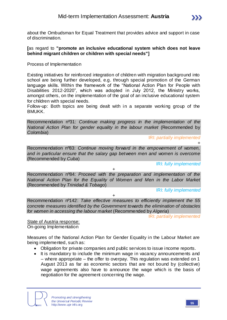about the Ombudsman for Equal Treatment that provides advice and support in case of discrimination.

### **[**as regard to **"promote an inclusive educational system which does not leave behind migrant children or children with special needs"]**

Process of Implementation

Existing initiatives for reinforced integration of children with migration background into school are being further developed, e.g. through special promotion of the German language skills. Within the framework of the "National Action Plan for People with Disabilities 2012-2020", which was adopted in July 2012, the Ministry works, amongst others, on the implementation of the goal of an inclusive educational system for children with special needs.

Follow-up: Both topics are being dealt with in a separate working group of the BMUKK.

Recommendation nº31: *Continue making progress in the implementation of the National Action Plan for gender equality in the labour market* (Recommended by *Colombia*)

IRI: *partially implemented*

Recommendation nº83: *Continue moving forward in the empowerment of women, and in particular ensure that the salary gap between men and women is overcome*  (Recommended by *Cuba*)

IRI: *fully implemented*

+

Recommendation nº84: *Proceed with the preparation and implementation of the National Action Plan for the Equality of Women and Men in the Labor Market*  (Recommended by *Trinidad & Tobago*)

+

IRI: *fully implemented*

Recommendation nº142: *Take effective measures to efficiently implement the 55 concrete measures identified by the Government towards the elimination of obstacles for women in accessing the labour market* (Recommended by *Algeria*)

+

IRI: *partially implemented*

State of Austria response: On-going Implementation

Measures of the National Action Plan for Gender Equality in the Labour Market are being implemented, such as:

- Obligation for private companies and public services to issue income reports.
- It is mandatory to include the minimum wage in vacancy announcements and – where appropriate – the offer to overpay. This regulation was extended on 1 August 2013 as far as economic sectors that are not bound by (collective) wage agreements also have to announce the wage which is the basis of negotiation for the agreement concerning the wage.

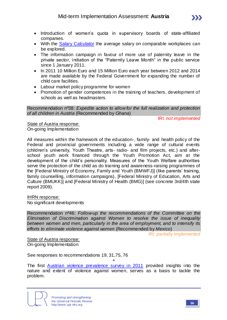- Introduction of women's quota in supervisory boards of state-affiliated companies.
- With the [Salary Calculator](http://www.gehaltsrechner.gv.at/) the average salary on comparable workplaces can be explored.
- The information campaign in favour of more use of paternity leave in the private sector, initiation of the "Paternity Leave Month" in the public service since 1 January 2011.
- In 2011 10 Million Euro and 15 Million Euro each year between 2012 and 2014 are made available by the Federal Government for expanding the number of child care facilities.
- Labour market policy programme for women
- Promotion of gender competences in the training of teachers, development of schools as well as headmasters.

Recommendation nº38: *Expedite action to allow for the full realization and protection of all children in Austria* (Recommended by *Ghana*)

IRI: *not implemented*

State of Austria response: On-going Implementation

All measures within the framework of the education-, family- and health policy of the Federal and provincial governments including a wide range of cultural events (children's university, Youth Theatre, arts- radio- and film projects, etc.) and afterschool youth work financed through the Youth Promotion Act, aim at the development of the child's personality. Measures of the Youth Welfare authorities serve the protection of the child as do training and awareness-raising programmes of the [Federal Ministry of Economy, Family and Youth (BMWFJ)] (like parents' training, family counselling, information campaigns), [Federal Ministry of Education, Arts and Culture (BMUKK)] and [Federal Ministry of Health (BMG)] (see concrete 3rd/4th state report 2009).

IHRN response:

No significant developments

Recommendation nº46: *Follow-up the recommendations of the Committee on the Elimination of Discrimination against Women to resolve the issue of inequality between women and men, particularly in the area of employment, and to intensify its efforts to eliminate violence against women* (Recommended by *Mexico*)

IRI: *partially implemented*

State of Austria response: On-going Implementation

See responses to recommendations 19, 31,75, 76

+ The first **[Austrian violence prevalence survey in 2011](http://www.oif.ac.at/fileadmin/OEIF/gewaltpraevalenz_12122011.pdf)** provided insights into the nature and extent of violence against women, serves as a basis to tackle the problem.

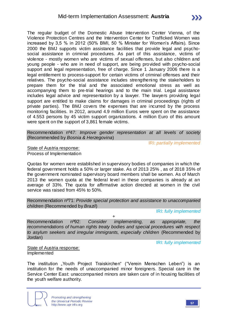The regular budget of the Domestic Abuse Intervention Center Vienna, of the Violence Protection Centres and the Intervention Center for Trafficked Women was increased by 3,5 % in 2012 (50% BMI, 50 % Minister for Women's Affairs). Since 2000 the BMJ supports victim assistance facilities that provide legal and psychosocial assistance in criminal procedures. As part of this assistance, victims of violence - mostly women who are victims of sexual offenses, but also children and young people - who are in need of support, are being provided with psycho-social support and legal representation, free of charge. Since 1 January 2006 there is a legal entitlement to process-support for certain victims of criminal offenses and their relatives. The psycho-social assistance includes strengthening the stakeholders to prepare them for the trial and the associated emotional stress as well as accompanying them to pre-trial hearings and to the main trial. Legal assistance includes legal advice and representation by a lawyer. The lawyers providing legal support are entitled to make claims for damages in criminal proceedings (rights of private parties). The BMJ covers the expenses that are incurred by the process monitoring facilities. In 2012, around 4.9 million Euros were spent on the assistance of 4.553 persons by 45 victim support organizations. 4 million Euro of this amount were spent on the support of 3,861 female victims.

Recommendation nº47: *Improve gender representation at all levels of society*  (Recommended by *Bosnia & Herzegovina*)

IRI: *partially implemented*

State of Austria response: Process of Implementation

Quotas for women were established in supervisory bodies of companies in which the federal government holds a 50% or larger stake. As of 2013 25% , as of 2018 35% of the government nominated supervisory board members shall be women. As of March 2013 the women quota at the federal level in these companies is already at an average of 33%. The quota for affirmative action directed at women in the civil service was raised from 45% to 50%.

Recommendation nº71: *Provide special protection and assistance to unaccompanied children* (Recommended by *Brazil*)

IRI: *fully implemented*

Recommendation nº92: *Consider implementing, as appropriate, the recommendations of human rights treaty bodies and special procedures with respect to asylum seekers and irregular immigrants, especially children* (Recommended by *Jordan*)

+

IRI: *fully implemented*

State of Austria response: Implemented

The institution "Youth Project Traiskirchen" ("Verein Menschen Leben") is an institution for the needs of unaccompanied minor foreigners. Special care in the Service Center East: unaccompanied minors are taken care of in housing facilities of the youth welfare authority.

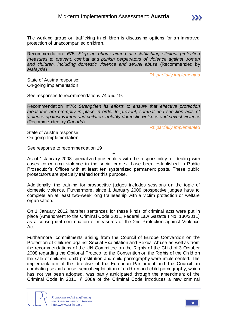

Recommendation nº75: *Step up efforts aimed at establishing efficient protection measures to prevent, combat and punish perpetrators of violence against women and children, including domestic violence and sexual abuse* (Recommended by *Malaysia*)

IRI: *partially implemented*

State of Austria response: On-going implementation

See responses to recommendations 74 and 19.

Recommendation nº76: *Strengthen its efforts to ensure that effective protection measures are promptly in place in order to prevent, combat and sanction acts of violence against women and children, notably domestic violence and sexual violence*  (Recommended by *Canada*)

IRI: *partially implemented*

State of Austria response: On-going Implementation

See response to recommendation 19

+ As of 1 January 2008 specialized prosecutors with the responsibility for dealing with cases concerning violence in the social context have been established in Public Prosecutor's Offices with at least ten systemized permanent posts. These public prosecutors are specially trained for this purpose.

Additionally, the training for prospective judges includes sessions on the topic of domestic violence. Furthermore, since 1 January 2009 prospective judges have to complete an at least two-week long traineeship with a victim protection or welfare organisation.

On 1 January 2012 harsher sentences for these kinds of criminal acts were put in place (Amendment to the Criminal Code 2011, Federal Law Gazette I No. 130/2011) as a consequent continuation of measures of the 2nd Protection against Violence Act.

Furthermore, commitments arising from the Council of Europe Convention on the Protection of Children against Sexual Exploitation and Sexual Abuse as well as from the recommendations of the UN Committee on the Rights of the Child of 3 October 2008 regarding the Optional Protocol to the Convention on the Rights of the Child on the sale of children, child prostitution and child pornography were implemented. The implementation of the directive of the European Parliament and the Council on combating sexual abuse, sexual exploitation of children and child pornography, which has not yet been adopted, was partly anticipated through the amendment of the Criminal Code in 2011. § 208a of the Criminal Code introduces a new criminal

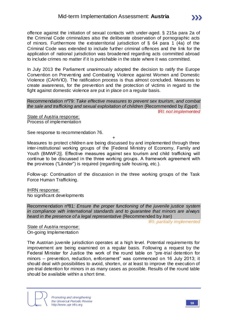offence against the initiation of sexual contacts with under-aged. § 215a para 2a of the Criminal Code criminalizes also the deliberate observation of pornographic acts of minors. Furthermore the extraterritorial jurisdiction of § 64 para 1 (4a) of the Criminal Code was extended to include further criminal offences and the link for the application of national jurisdiction was broadened regarding acts committed abroad to include crimes no matter if it is punishable in the state where it was committed.

In July 2013 the Parliament unanimously adopted the decision to ratify the Europe Convention on Preventing and Combating Violence against Women and Domestic Violence (CAHVIO). The ratification process is thus almost concluded. Measures to create awareness, for the prevention and the protection of victims in regard to the fight against domestic violence are put in place on a regular basis.

Recommendation nº79: *Take effective measures to prevent sex tourism, and combat the sale and trafficking and sexual exploitation of children* (Recommended by *Egypt*)

IRI: *not implemented*

State of Austria response: Process of implementation

See response to recommendation 76.

+ Measures to protect children are being discussed by and implemented through three inter-institutional working groups of the [Federal Ministry of Economy, Family and Youth (BMWFJ)]. Effective measures against sex tourism and child trafficking will continue to be discussed in the three working groups. A framework agreement with the provinces ("Länder") is required (regarding safe housing, etc.).

Follow-up: Continuation of the discussion in the three working groups of the Task Force Human Trafficking.

IHRN response: No significant developments

Recommendation nº81: *Ensure the proper functioning of the juvenile justice system in compliance with international standards and to guarantee that minors are always heard in the presence of a legal representative* (Recommended by *Iran*)

IRI: *partially implemented*

State of Austria response: On-going Implementation

The Austrian juvenile jurisdiction operates at a high level. Potential requirements for improvement are being examined on a regular basis. Following a request by the Federal Minister for Justice the work of the round table on "pre-trial detention for minors – prevention, reduction, enforcement" was commenced on 16 July 2013; it should deal with possibilities to avoid, shorten, or at least to improve the execution of pre-trial detention for minors in as many cases as possible. Results of the round table should be available within a short time.

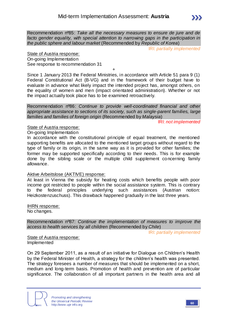Recommendation nº85: *Take all the necessary measures to ensure de jure and de facto gender equality, with special attention to narrowing gaps in the participation in the public sphere and labour market* (Recommended by *Republic of Korea*)

IRI: *partially implemented*

State of Austria response: On-going Implementation See response to recommendation 31

+

Since 1 January 2013 the Federal Ministries, in accordance with Article 51 para 9 (1) Federal Constitutional Act (B-VG) and in the framework of their budget have to evaluate in advance what likely impact the intended project has, amongst others, on the equality of women and men (impact orientated administration). Whether or not the impact actually took place has to be examined retroactively.

Recommendation nº86: *Continue to provide well-coordinated financial and other appropriate assistance to sections of its society, such as single-parent families, large families and families of foreign origin* (Recommended by *Malaysia*)

IRI: *not implemented*

State of Austria response:

On-going Implementation

In accordance with the constitutional principle of equal treatment, the mentioned supporting benefits are allocated to the mentioned target groups without regard to the type of family or its origin, in the same way as it is provided for other families; the former may be supported specifically according to their needs. This is for example done by the sibling scale or the multiple child supplement concerning family allowance.

### Aktive Arbeitslose (AKTIVE) response:

At least in Vienna the subsidy for heating costs which benefits people with poor income got restricted to people within the social assistance system. This is contrary to the federal principles underlying such assistances (Austrian notion: Heizkostenzuschuss). This drawback happened gradually in the last three years.

IHRN response: No changes.

Recommendation nº87: *Continue the implementation of measures to improve the access to health services by all children* (Recommended by *Chile*)

IRI: *partially implemented*

State of Austria response: Implemented

On 29 September 2011, as a result of an initiative for Dialogue on Children's Health by the Federal Minister of Health, a strategy for the children's health was presented. The strategy foresees a number of measures that should be implemented on a short, medium and long-term basis. Promotion of health and prevention are of particular significance. The collaboration of all important partners in the health area and all

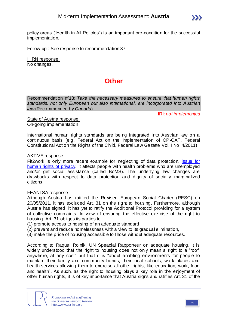policy areas ("Health in All Policies") is an important pre-condition for the successful implementation.

+ Follow-up : See response to recommendation 37

IHRN response: No changes.

## **Other**

Recommendation nº13: *Take the necessary measures to ensure that human rights standards, not only European but also international, are incorporated into Austrian law* (Recommended by *Canada*)

IRI: *not implemented*

State of Austria response: On-going implementation

International human rights standards are being integrated into Austrian law on a continuous basis (e.g. Federal Act on the Implementation of OP-CAT, Federal Constitutional Act on the Rights of the Child, Federal Law Gazette Vol. I No. 4/2011).

## AKTIVE response:

Fit2work is only more recent example for neglecting of data protection, issue for [human rights of privacy.](http://www.aktive-arbeitslose.at/news/20130612_fit2work_datenschutz.html) It affects people with health problems who are unemployed and/or get social assistance (called BoMS). The underlying law changes are drawbacks with respect to data protection and dignity of socially marginalized citizens.

## FEANTSA response:

Although Austria has ratified the Revised European Social Charter (RESC) on 20/05/2011, it has excluded Art. 31 on the right to housing. Furthermore, although Austria has signed, it has yet to ratify the Additional Protocol providing for a system of collective complaints. In view of ensuring the effective exercise of the right to housing, Art. 31 obliges its parties to

(1) promote access to housing of an adequate standard,

- (2) prevent and reduce homelessness with a view to its gradual elimination,
- (3) make the price of housing accessible to those without adequate resources.

According to Raquel Rolnik, UN Speacial Rapporteur on adequate housing, it is widely understood that the right to housing does not only mean a right to a "roof, anywhere, at any cost" but that it is "about enabling environments for people to maintain their family and community bonds, their local schools, work places and health services allowing them to exercise all other rights, like education, work, food and health". As such, as the right to housing plays a key role in the enjoyment of other human rights, it is of key importance that Austria signs and ratifies Art. 31 of the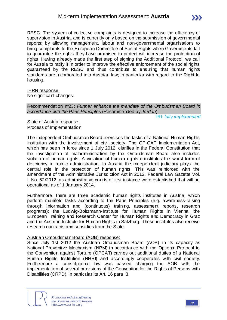RESC. The system of collective complaints is designed to increase the efficiency of supervision in Austria, and is currently only based on the submission of governmental reports; by allowing management, labour and non-governmental organisations to bring complaints to the European Committee of Social Rights when Governments fail to guarantee the rights they have promised to protect will increase the protection of rights. Having already made the first step of signing the Additional Protocol, we call for Austria to ratify it in order to improve the effective enforcement of the social rights guaranteed by the RESC and thus contribute to ensuring that human rig hts standards are incorporated into Austrian law; in particular with regard to the Right to housing.

#### IHRN response:

No significant changes.

#### Recommendation nº23: *Further enhance the mandate of the Ombudsman Board in accordance with the Paris Principles* (Recommended by *Jordan*)

IRI: *fully implemented*

State of Austria response: Process of Implementation

The independent Ombudsman Board exercises the tasks of a National Human Rights Institution with the involvement of civil society. The OP-CAT Implementation Act, which has been in force since 1 July 2012, clarifies in the Federal Constitution that the investigation of maladministration by the Ombudsman Board also includes violation of human rights. A violation of human rights constitutes the worst form of deficiency in public administration. In Austria the independent judiciary plays the central role in the protection of human rights. This was reinforced with the amendment of the Administrative Jurisdiction Act in 2012, Federal Law Gazette Vol. I, No. 52/2012, as administrative courts of first instance were established that will be operational as of 1 January 2014.

Furthermore, there are three academic human rights institutes in Austria, which perform manifold tasks according to the Paris Principles (e.g. awareness-raising through information and (continuous) training, assessment reports, research programs): the Ludwig-Boltzmann-Institute for Human Rights in Vienna, the European Training and Research Center for Human Rights and Democracy in Graz and the Austrian Institute for Human Rights in Salzburg. These institutes also receive research contracts and subsidies from the State.

#### Austrian Ombudsman Board (AOB) response:

Since July 1st 2012 the Austrian Ombudsman Board (AOB) in its capacity as National Preventive Mechanism (NPM) in accordance with the Optional Protocol to the Convention against Torture (OPCAT) carries out additional duties of a National Human Rights Institution (NHRI) and accordingly cooperates with civil society. Furthermore a constitutional law was passed charging the AOB with the implementation of several provisions of the Convention for the Rights of Persons with Disabilities (CRPD), in particular its Art. 16 para. 3.

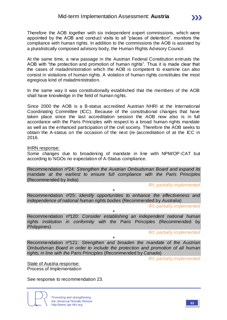Therefore the AOB together with six independent expert commissions, which were appointed by the AOB and conduct visits to all "places of detention", monitors the compliance with human rights. In addition to the commissions the AOB is assisted by a pluralistically composed advisory body, the Human Rights Advisory Council.

At the same time, a new passage in the Austrian Federal Constitution entrusts the AOB with "the protection and promotion of human rights". Thus it is made clear that the cases of maladministration which the AOB is competent to examine can also consist in violations of human rights. A violation of human rights constitutes the most egregious kind of maladministration.

In the same way it was constitutionally established that the members of the AOB shall have knowledge in the field of human rights.

Since 2000 the AOB is a B-status accredited Austrian NHRI at the International Coordinating Committee (ICC). Because of the constitutional changes that have taken place since the last accreditation session the AOB now also is in full accordance with the Paris Principles with respect to a broad human rights mandate as well as the enhanced participation of the civil society. Therefore the AOB seeks to obtain the A-status on the occasion of the next (re-)accreditation of at the ICC in 2016.

IHRN response:

Some changes due to broadening of mandate in line with NPM/OP-CAT but according to NGOs no expectation of A-Status compliance.

Recommendation nº24: *Strengthen the Austrian Ombudsman Board and expand its mandate at the earliest to ensure full compliance with the Paris Principles*  (Recommended by *India*)

IRI: *partially implemented*

 $\sum$ 

Recommendation nº25: *Identify opportunities to enhance the effectiveness and independence of national human rights bodies* (Recommended by *Australia*)

+

IRI: *partially implemented*

Recommendation nº120: *Consider establishing an independent national human rights institution in conformity with the Paris Principles* (Recommended by *Philippines*)

+

IRI: *partially implemented*

Recommendation nº121: *Strengthen and broaden the mandate of the Austrian Ombudsman Board in order to include the protection and promotion of all human rights, in line with the Paris Principles* (Recommended by *Canada*)

+

IRI: *partially implemented*

State of Austria response: Process of Implementation

See response to recommendation 23.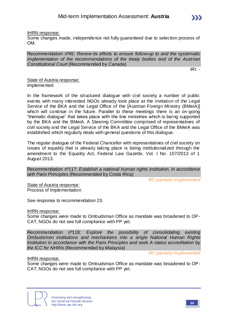

#### IHRN response:

Some changes made, independence not fully guaranteed due to selection process of OM.

Recommendation nº45: *Renew its efforts to ensure follow-up to and the systematic implementation of the recommendations of the treaty bodies and of the Austrian Constitutional Court* (Recommended by *Canada*)

IRI: *-*

### State of Austria response: Implemented

In the framework of the structured dialogue with civil society a number of public events with many interested NGOs already took place at the invitation of the Legal Service of the BKA and the Legal Office of the [Austrian Foreign Ministry (BMeiA)] which will continue in the future. Parallel to these meetings there is an on-going "thematic dialogue" that takes place with the line ministries which is bei ng supported by the BKA and the BMeiA. A Steering Committee comprised of representatives of civil society and the Legal Service of the BKA and the Legal Office of the BMeiA was established which regularly deals with general questions of this dialogue.

The regular dialogue of the Federal Chancellor with representatives of civil society on issues of equality that is already taking place is being institutionalized through the amendment to the Equality Act, Federal Law Gazette, Vol. I No. 107/2013 of 1 August 2013.

Recommendation nº117: *Establish a national human rights institution, in accordance with Paris Principles* (Recommended by *Costa Rica*)

IRI: *partially implemented*

State of Austria response: Process of Implementation

See response to recommendation 23.

IHRN response:

Some changes were made to Ombudsman Office as mandate was broadened to OP-CAT, NGOs do not see full compliance with PP yet.

Recommendation nº118: *Explore the possibility of consolidating existing Ombudsmen institutions and mechanisms into a single National Human Rights Institution in accordance with the Paris Principles and seek A-status accreditation by the ICC for NHRIs* (Recommended by *Malaysia*)

IRI: *partially implemented*

#### IHRN response:

Some changes were made to Ombudsman Office as mandate was broadened to OP-CAT, NGOs do not see full compliance with PP yet.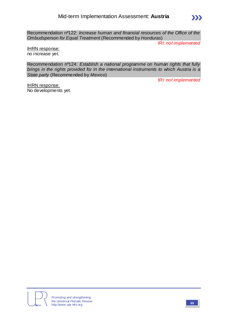Recommendation nº122: *Increase human and financial resources of the Office of the Ombudsperson for Equal Treatment* (Recommended by *Honduras*)

IRI: *not implemented*

 $\sum$ 

IHRN response: no increase yet.

Recommendation nº124: *Establish a national programme on human rights that fully brings in the rights provided for in the international instruments to which Austria is a State party* (Recommended by *Mexico*)

IRI: *not implemented*

IHRN response: No developments yet.

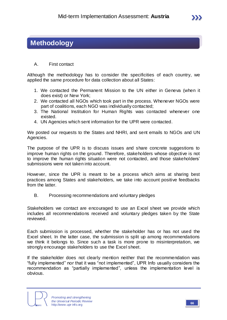## **Methodology**

## A. First contact

Although the methodology has to consider the specificities of each country, we applied the same procedure for data collection about all States:

- 1. We contacted the Permanent Mission to the UN either in Geneva (when it does exist) or New York;
- 2. We contacted all NGOs which took part in the process. Whenever NGOs were part of coalitions, each NGO was individually contacted;
- 3. The National Institution for Human Rights was contacted whenever one existed.
- 4. UN Agencies which sent information for the UPR were contacted.

We posted our requests to the States and NHRI, and sent emails to NGOs and UN Agencies.

The purpose of the UPR is to discuss issues and share concrete suggestions to improve human rights on the ground. Therefore, stakeholders whose objective is not to improve the human rights situation were not contacted, and those stakeholders' submissions were not taken into account.

However, since the UPR is meant to be a process which aims at sharing best practices among States and stakeholders, we take into account positive feedbacks from the latter.

B. Processing recommendations and voluntary pledges

Stakeholders we contact are encouraged to use an Excel sheet we provide which includes all recommendations received and voluntary pledges taken by the State reviewed.

Each submission is processed, whether the stakeholder has or has not used the Excel sheet. In the latter case, the submission is split up among recommendations we think it belongs to. Since such a task is more prone to misinterpretation, we strongly encourage stakeholders to use the Excel sheet.

If the stakeholder does not clearly mention neither that the recommendation was "fully implemented" nor that it was "not implemented", UPR nfo usually considers the recommendation as "partially implemented", unless the implementation level is obvious.

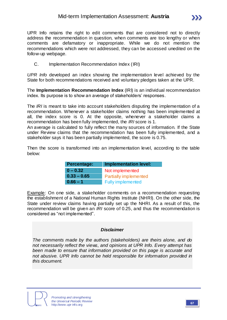UPR Info retains the right to edit comments that are considered not to directly address the recommendation in question, when comments are too lengthy or when comments are defamatory or inappropriate. While we do not mention the recommendations which were not addressed, they can be accessed unedited on the follow-up webpage.

C. Implementation Recommendation Index (IRI)

*UPR Info* developed an index showing the implementation level achieved by the State for both recommendations received and voluntary pledges taken at the UPR.

The **Implementation Recommendation Index** (IRI) is an individual recommendation index. Its purpose is to show an average of stakeholders' responses.

The *IRI* is meant to take into account stakeholders disputing the implementation of a recommendation. Whenever a stakeholder claims nothing has been implemented at all, the index score is 0. At the opposite, whenever a stakeholder claims a recommendation has been fully implemented, the *IRI* score is 1.

An average is calculated to fully reflect the many sources of information. If the State under Review claims that the recommendation has been fully implemented, and a stakeholder says it has been partially implemented, the score is 0.75.

Then the score is transformed into an implementation level, according to the table below:

| <b>Percentage:</b> | <b>Implementation level:</b> |  |  |  |
|--------------------|------------------------------|--|--|--|
| $0 - 0.32$         | Not implemented              |  |  |  |
| $0.33 - 0.65$      | <b>Partially implemented</b> |  |  |  |
| $0.66 - 1$         | <b>Fully implemented</b>     |  |  |  |

Example: On one side, a stakeholder comments on a recommendation requesting the establishment of a National Human Rights Institute (NHRI). On the other side, the State under review claims having partially set up the NHRI. As a result of this, the recommendation will be given an *IRI* score of 0.25, and thus the recommendation is considered as "not implemented".

## *Disclaimer*

*The comments made by the authors (stakeholders) are theirs alone, and do not necessarily reflect the views, and opinions at UPR Info. Every attempt has been made to ensure that information provided on this page is accurate and not abusive. UPR Info cannot be held responsible for information provided in this document.*

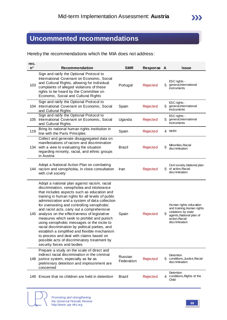# **Uncommented recommendations**

Hereby the recommendations which the MIA does not address:

| rec.<br>$n^{\circ}$ | <b>Recommendation</b>                                                                                                                                                                                                                                                                                                                                                                                                                                                                                                                                                                                                                                                                                                 | <b>SMR</b>            | Response A |    | <b>Issue</b>                                                                                                                                |
|---------------------|-----------------------------------------------------------------------------------------------------------------------------------------------------------------------------------------------------------------------------------------------------------------------------------------------------------------------------------------------------------------------------------------------------------------------------------------------------------------------------------------------------------------------------------------------------------------------------------------------------------------------------------------------------------------------------------------------------------------------|-----------------------|------------|----|---------------------------------------------------------------------------------------------------------------------------------------------|
| 103                 | Sign and ratify the Optional Protocol to<br>International Covenant on Economic, Social<br>and Cultural Rights, allowing for individual<br>complaints of alleged violations of these<br>rights to be heard by the Committee on<br>Economic, Social and Cultural Rights                                                                                                                                                                                                                                                                                                                                                                                                                                                 | Portugal              | Rejected   | 5. | ESC rights -<br>general, International<br>instruments                                                                                       |
| 104                 | Sign and ratify the Optional Protocol to<br>International Covenant on Economic, Social<br>and Cultural Rights                                                                                                                                                                                                                                                                                                                                                                                                                                                                                                                                                                                                         | Spain                 | Rejected   | 5. | ESC rights -<br>general, International<br>instruments                                                                                       |
| 105                 | Sign and ratify the Optional Protocol to<br>International Covenant on Economic, Social<br>and Cultural Rights                                                                                                                                                                                                                                                                                                                                                                                                                                                                                                                                                                                                         | Uganda                | Rejected   | 5. | ESC rights -<br>general, International<br>instruments                                                                                       |
| 119                 | Bring its national human rights institution in<br>line with the Paris Principles                                                                                                                                                                                                                                                                                                                                                                                                                                                                                                                                                                                                                                      | Spain                 | Rejected   |    | 4 NHRI                                                                                                                                      |
|                     | Collect and generate disaggregated data on<br>manifestations of racism and discrimination<br>134 with a view to evaluating the situation<br>regarding minority, racial, and ethnic groups<br>in Austria                                                                                                                                                                                                                                                                                                                                                                                                                                                                                                               | <b>Brazil</b>         | Rejected   | 5  | Minorities, Racial<br>discrimination                                                                                                        |
|                     | Adopt a National Action Plan on combating<br>144 racism and xenophobia, in close consultation<br>with civil society                                                                                                                                                                                                                                                                                                                                                                                                                                                                                                                                                                                                   | Iran                  | Rejected   | 5. | Civil society, National plan<br>of action, Racial<br>discrimination                                                                         |
| 145                 | Adopt a national plan against racism, racial<br>discrimination, xenophobia and intolerance<br>that includes aspects such as education and<br>training in human rights for all levels of public<br>administration and a system of data collection<br>for overseeing and controlling xenophobic<br>and racist acts, carry out a comprehensive<br>analysis on the effectiveness of legislative<br>measures which seek to prohibit and punish<br>using xenophobic messages or the incite to<br>racial discrimination by political parties, and<br>establish a simplified and flexible mechanism<br>to process and deal with claims based on<br>possible acts of discriminatory treatment by<br>security forces and bodies | Spain                 | Rejected   | 5  | Human rights education<br>and training, Human rights<br>violations by state<br>agents, National plan of<br>action, Racial<br>discrimination |
| 148                 | Prepare a study on the scale of direct and<br>indirect racial discrimination in the criminal<br>justice system, especially as far as<br>preliminary detention and imprisonment are<br>concerned                                                                                                                                                                                                                                                                                                                                                                                                                                                                                                                       | Russian<br>Federation | Rejected   | 5. | Detention<br>conditions, Justice, Racial<br>discrimination                                                                                  |
| 149                 | Ensure that no children are held in detention                                                                                                                                                                                                                                                                                                                                                                                                                                                                                                                                                                                                                                                                         | <b>Brazil</b>         | Rejected   | 4  | Detention<br>conditions, Rights of the<br>Child                                                                                             |



*Promoting and strengthening the Universal Periodic Review* http://www.upr-info.org **<sup>68</sup>**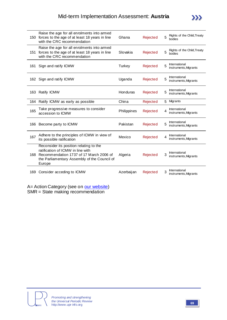| 150 | Raise the age for all enrolments into armed<br>forces to the age of at least 18 years in line<br>with the CRC recommendation                                                      | Ghana       | Rejected | 5 | Rights of the Child, Treaty<br>bodies  |
|-----|-----------------------------------------------------------------------------------------------------------------------------------------------------------------------------------|-------------|----------|---|----------------------------------------|
| 151 | Raise the age for all enrolments into armed<br>forces to the age of at least 18 years in line<br>with the CRC recommendation                                                      | Slovakia    | Rejected | 5 | Rights of the Child, Treaty<br>bodies  |
| 161 | Sign and ratify ICMW                                                                                                                                                              | Turkey      | Rejected | 5 | International<br>instruments, Migrants |
|     | 162 Sign and ratify ICMW                                                                                                                                                          | Uganda      | Rejected | 5 | International<br>instruments, Migrants |
| 163 | Ratify ICMW                                                                                                                                                                       | Honduras    | Rejected |   | International<br>instruments, Migrants |
| 164 | Ratify ICMW as early as possible                                                                                                                                                  | China       | Rejected | 5 | Migrants                               |
| 165 | Take progressive measures to consider<br>accession to ICMW                                                                                                                        | Philippines | Rejected | 4 | International<br>instruments, Migrants |
| 166 | Become party to ICMW                                                                                                                                                              | Pakistan    | Rejected |   | International<br>instruments, Migrants |
| 167 | Adhere to the principles of ICMW in view of<br>its possible ratification                                                                                                          | Mexico      | Rejected | 4 | International<br>instruments, Migrants |
| 168 | Reconsider its position relating to the<br>ratification of ICMW in line with<br>Recommendation 1737 of 17 March 2006 of<br>the Parliamentary Assembly of the Council of<br>Europe | Algeria     | Rejected | 3 | International<br>instruments, Migrants |
| 169 | Consider acceding to ICMW                                                                                                                                                         | Azerbaijan  | Rejected | 3 | International<br>instruments, Migrants |

A= Action Category (see on [our website\)](http://www.upr-info.org/IMG/pdf/Database_Action_Category.pdf) SMR = State making recommendation



 $\sum$